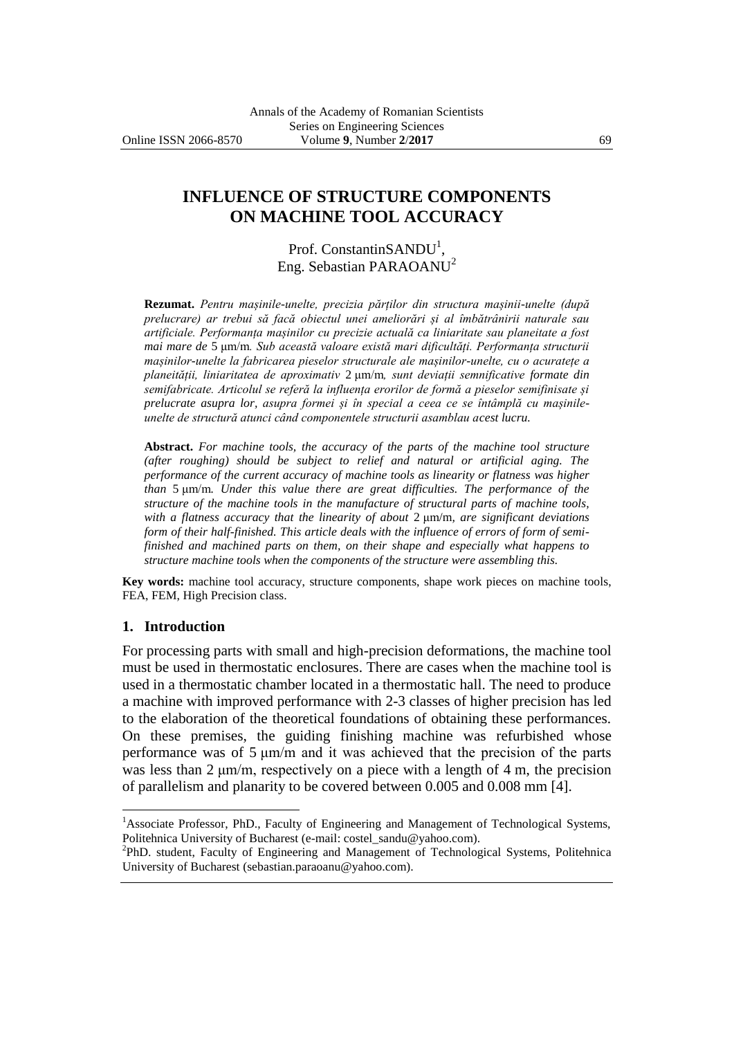# **INFLUENCE OF STRUCTURE COMPONENTS ON MACHINE TOOL ACCURACY**

Prof. ConstantinSANDU<sup>1</sup>, Eng. Sebastian PARAOANU<sup>2</sup>

**Rezumat.** *Pentru mașinile-unelte, precizia părților din structura mașinii-unelte (după prelucrare) ar trebui să facă obiectul unei ameliorări și al îmbătrânirii naturale sau artificiale. Performanța mașinilor cu precizie actuală ca liniaritate sau planeitate a fost mai mare de* 5 μm/m*. Sub această valoare există mari dificultăți. Performanța structurii mașinilor-unelte la fabricarea pieselor structurale ale mașinilor-unelte, cu o acuratețe a planeității, liniaritatea de aproximativ* 2 μm/m*, sunt deviații semnificative formate din semifabricate. Articolul se referă la influența erorilor de formă a pieselor semifinisate și prelucrate asupra lor, asupra formei și în special a ceea ce se întâmplă cu mașinileunelte de structură atunci când componentele structurii asamblau acest lucru.*

**Abstract.** *For machine tools, the accuracy of the parts of the machine tool structure (after roughing) should be subject to relief and natural or artificial aging. The performance of the current accuracy of machine tools as linearity or flatness was higher than* 5 μm/m*. Under this value there are great difficulties. The performance of the structure of the machine tools in the manufacture of structural parts of machine tools, with a flatness accuracy that the linearity of about* 2 μm/m*, are significant deviations form of their half-finished. This article deals with the influence of errors of form of semifinished and machined parts on them, on their shape and especially what happens to structure machine tools when the components of the structure were assembling this.*

**Key words:** machine tool accuracy, structure components, shape work pieces on machine tools, FEA, FEM, High Precision class.

#### **1. Introduction**

 $\overline{a}$ 

For processing parts with small and high-precision deformations, the machine tool must be used in thermostatic enclosures. There are cases when the machine tool is used in a thermostatic chamber located in a thermostatic hall. The need to produce a machine with improved performance with 2-3 classes of higher precision has led to the elaboration of the theoretical foundations of obtaining these performances. On these premises, the guiding finishing machine was refurbished whose performance was of 5 μm/m and it was achieved that the precision of the parts was less than 2 μm/m, respectively on a piece with a length of 4 m, the precision of parallelism and planarity to be covered between 0.005 and 0.008 mm [4].

<sup>2</sup>PhD. student, Faculty of Engineering and Management of Technological Systems, Politehnica University of Bucharest (sebastian.paraoanu@yahoo.com).

<sup>&</sup>lt;sup>1</sup>Associate Professor, PhD., Faculty of Engineering and Management of Technological Systems, Politehnica University of Bucharest (e-mail: costel\_sandu@yahoo.com).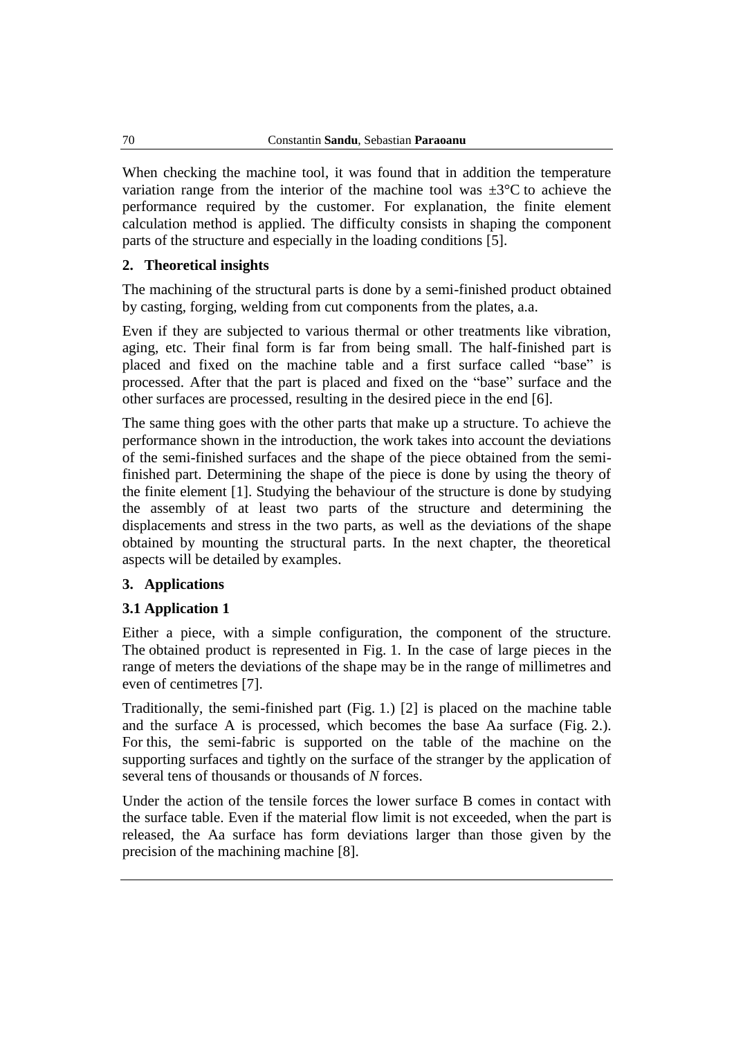When checking the machine tool, it was found that in addition the temperature variation range from the interior of the machine tool was  $\pm 3^{\circ}$ C to achieve the performance required by the customer. For explanation, the finite element calculation method is applied. The difficulty consists in shaping the component parts of the structure and especially in the loading conditions [5].

## **2. Theoretical insights**

The machining of the structural parts is done by a semi-finished product obtained by casting, forging, welding from cut components from the plates, a.a.

Even if they are subjected to various thermal or other treatments like vibration, aging, etc. Their final form is far from being small. The half-finished part is placed and fixed on the machine table and a first surface called "base" is processed. After that the part is placed and fixed on the "base" surface and the other surfaces are processed, resulting in the desired piece in the end [6].

The same thing goes with the other parts that make up a structure. To achieve the performance shown in the introduction, the work takes into account the deviations of the semi-finished surfaces and the shape of the piece obtained from the semifinished part. Determining the shape of the piece is done by using the theory of the finite element [1]. Studying the behaviour of the structure is done by studying the assembly of at least two parts of the structure and determining the displacements and stress in the two parts, as well as the deviations of the shape obtained by mounting the structural parts. In the next chapter, the theoretical aspects will be detailed by examples.

### **3. Applications**

## **3.1 Application 1**

Either a piece, with a simple configuration, the component of the structure. The obtained product is represented in Fig. 1. In the case of large pieces in the range of meters the deviations of the shape may be in the range of millimetres and even of centimetres [7].

Traditionally, the semi-finished part (Fig. 1.) [2] is placed on the machine table and the surface A is processed, which becomes the base Aa surface (Fig. 2.). For this, the semi-fabric is supported on the table of the machine on the supporting surfaces and tightly on the surface of the stranger by the application of several tens of thousands or thousands of *N* forces.

Under the action of the tensile forces the lower surface B comes in contact with the surface table. Even if the material flow limit is not exceeded, when the part is released, the Aa surface has form deviations larger than those given by the precision of the machining machine [8].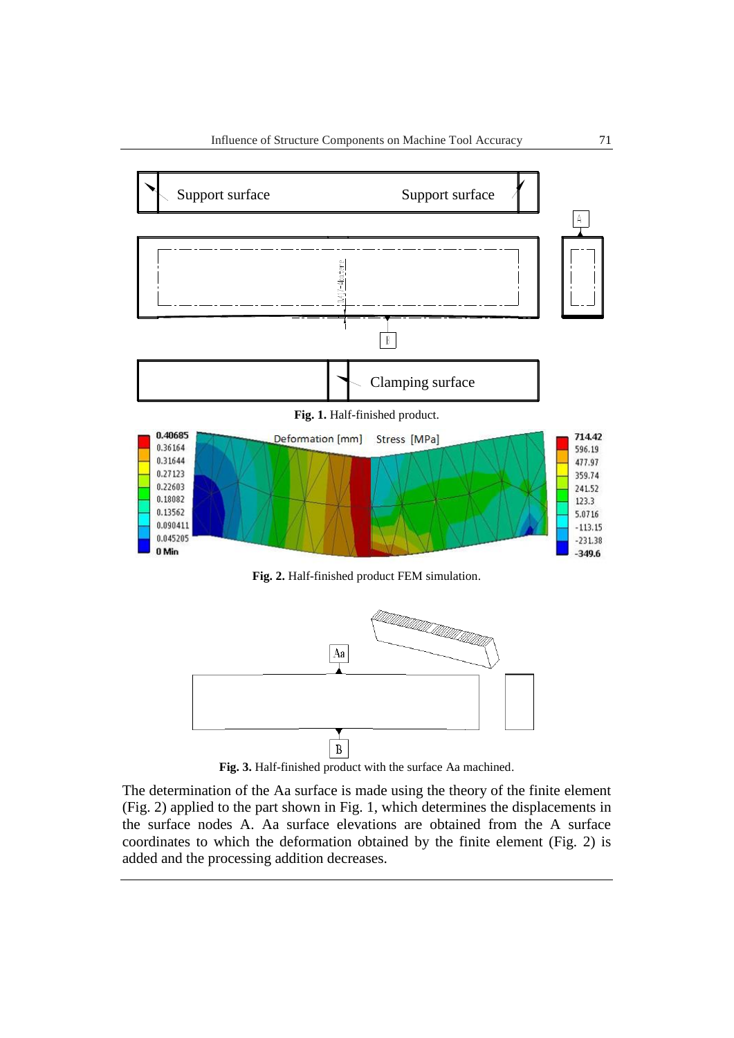

**Fig. 2.** Half-finished product FEM simulation.



**Fig. 3.** Half-finished product with the surface Aa machined.

The determination of the Aa surface is made using the theory of the finite element (Fig. 2) applied to the part shown in Fig. 1, which determines the displacements in the surface nodes A. Aa surface elevations are obtained from the A surface coordinates to which the deformation obtained by the finite element (Fig. 2) is added and the processing addition decreases.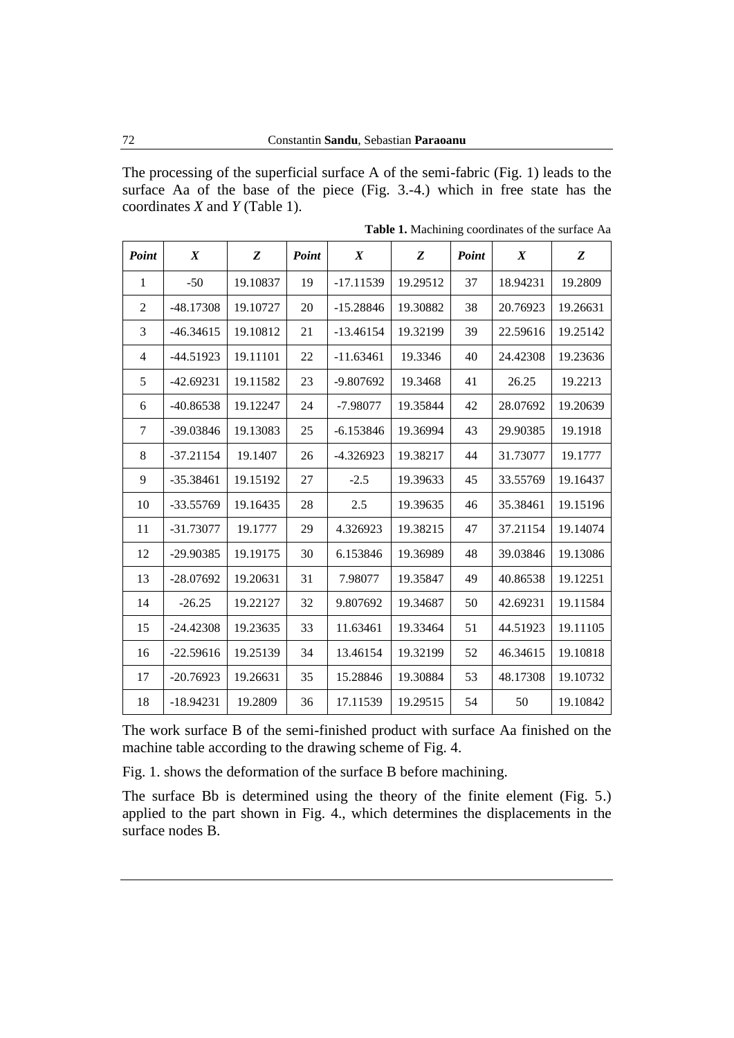The processing of the superficial surface A of the semi-fabric (Fig. 1) leads to the surface Aa of the base of the piece (Fig. 3.-4.) which in free state has the coordinates *X* and *Y* (Table 1).

| Point          | $\boldsymbol{X}$ | Z        | Point | $\boldsymbol{X}$ | Z        | Point | $\boldsymbol{X}$ | Z        |
|----------------|------------------|----------|-------|------------------|----------|-------|------------------|----------|
| $\mathbf{1}$   | $-50$            | 19.10837 | 19    | $-17.11539$      | 19.29512 | 37    | 18.94231         | 19.2809  |
| $\overline{2}$ | $-48.17308$      | 19.10727 | 20    | $-15.28846$      | 19.30882 | 38    | 20.76923         | 19.26631 |
| 3              | $-46.34615$      | 19.10812 | 21    | $-13.46154$      | 19.32199 | 39    | 22.59616         | 19.25142 |
| 4              | $-44.51923$      | 19.11101 | 22    | $-11.63461$      | 19.3346  | 40    | 24.42308         | 19.23636 |
| 5              | $-42.69231$      | 19.11582 | 23    | $-9.807692$      | 19.3468  | 41    | 26.25            | 19.2213  |
| 6              | $-40.86538$      | 19.12247 | 24    | $-7.98077$       | 19.35844 | 42    | 28.07692         | 19.20639 |
| 7              | -39.03846        | 19.13083 | 25    | $-6.153846$      | 19.36994 | 43    | 29.90385         | 19.1918  |
| 8              | $-37.21154$      | 19.1407  | 26    | $-4.326923$      | 19.38217 | 44    | 31.73077         | 19.1777  |
| 9              | $-35.38461$      | 19.15192 | 27    | $-2.5$           | 19.39633 | 45    | 33.55769         | 19.16437 |
| 10             | $-33.55769$      | 19.16435 | 28    | 2.5              | 19.39635 | 46    | 35.38461         | 19.15196 |
| 11             | $-31.73077$      | 19.1777  | 29    | 4.326923         | 19.38215 | 47    | 37.21154         | 19.14074 |
| 12             | -29.90385        | 19.19175 | 30    | 6.153846         | 19.36989 | 48    | 39.03846         | 19.13086 |
| 13             | $-28.07692$      | 19.20631 | 31    | 7.98077          | 19.35847 | 49    | 40.86538         | 19.12251 |
| 14             | $-26.25$         | 19.22127 | 32    | 9.807692         | 19.34687 | 50    | 42.69231         | 19.11584 |
| 15             | $-24.42308$      | 19.23635 | 33    | 11.63461         | 19.33464 | 51    | 44.51923         | 19.11105 |
| 16             | $-22.59616$      | 19.25139 | 34    | 13.46154         | 19.32199 | 52    | 46.34615         | 19.10818 |
| 17             | $-20.76923$      | 19.26631 | 35    | 15.28846         | 19.30884 | 53    | 48.17308         | 19.10732 |
| 18             | $-18.94231$      | 19.2809  | 36    | 17.11539         | 19.29515 | 54    | 50               | 19.10842 |

**Table 1.** Machining coordinates of the surface Aa

The work surface B of the semi-finished product with surface Aa finished on the machine table according to the drawing scheme of Fig. 4.

Fig. 1. shows the deformation of the surface B before machining.

The surface Bb is determined using the theory of the finite element (Fig. 5.) applied to the part shown in Fig. 4., which determines the displacements in the surface nodes B.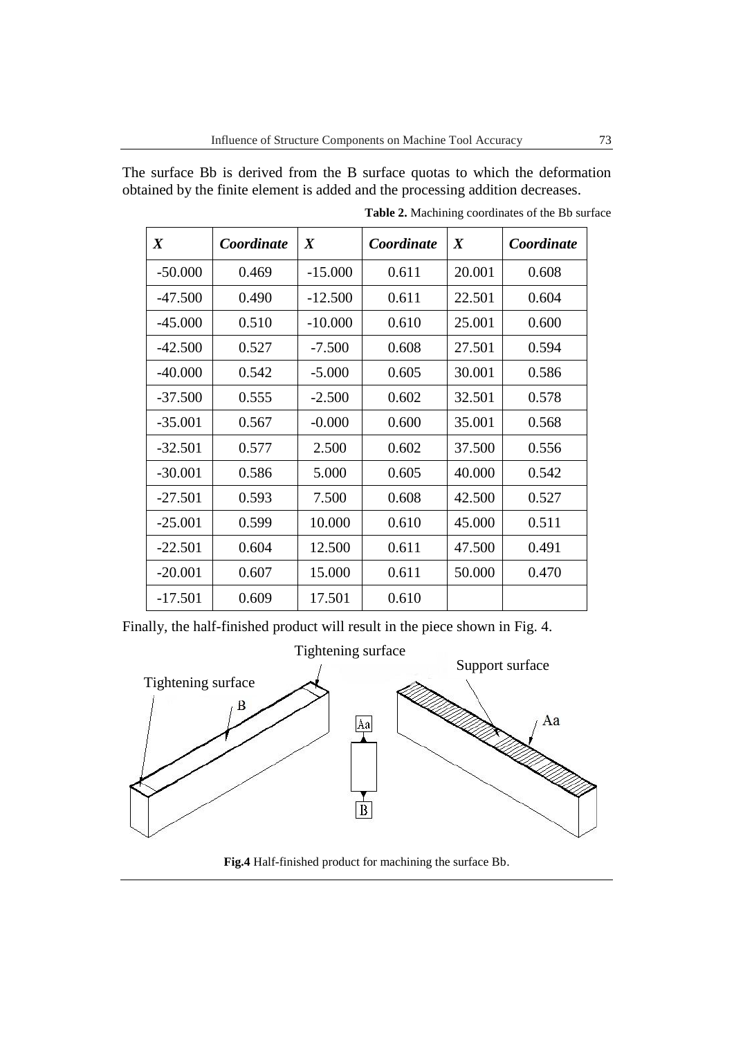The surface Bb is derived from the B surface quotas to which the deformation obtained by the finite element is added and the processing addition decreases.

| $\boldsymbol{X}$ | Coordinate | $\boldsymbol{X}$ | Coordinate | $\boldsymbol{X}$ | Coordinate |
|------------------|------------|------------------|------------|------------------|------------|
| $-50.000$        | 0.469      | $-15.000$        | 0.611      | 20.001           | 0.608      |
| $-47.500$        | 0.490      | $-12.500$        | 0.611      | 22.501           | 0.604      |
| $-45.000$        | 0.510      | $-10.000$        | 0.610      | 25.001           | 0.600      |
| $-42.500$        | 0.527      | $-7.500$         | 0.608      | 27.501           | 0.594      |
| $-40.000$        | 0.542      | $-5.000$         | 0.605      | 30.001           | 0.586      |
| $-37.500$        | 0.555      | $-2.500$         | 0.602      | 32.501           | 0.578      |
| $-35.001$        | 0.567      | $-0.000$         | 0.600      | 35.001           | 0.568      |
| $-32.501$        | 0.577      | 2.500            | 0.602      | 37.500           | 0.556      |
| $-30.001$        | 0.586      | 5.000            | 0.605      | 40.000           | 0.542      |
| $-27.501$        | 0.593      | 7.500            | 0.608      | 42.500           | 0.527      |
| $-25.001$        | 0.599      | 10.000           | 0.610      | 45.000           | 0.511      |
| $-22.501$        | 0.604      | 12.500           | 0.611      | 47.500           | 0.491      |
| $-20.001$        | 0.607      | 15.000           | 0.611      | 50.000           | 0.470      |
| $-17.501$        | 0.609      | 17.501           | 0.610      |                  |            |

**Table 2.** Machining coordinates of the Bb surface

Finally, the half-finished product will result in the piece shown in Fig. 4.



**Fig.4** Half-finished product for machining the surface Bb.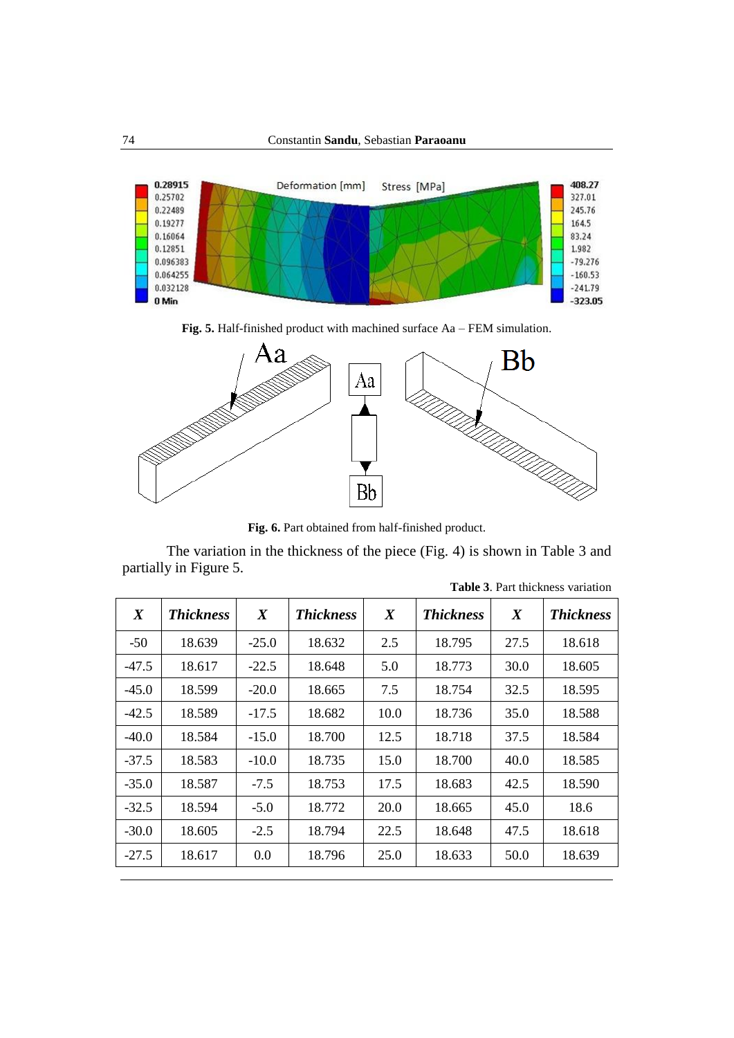

**Fig. 5.** Half-finished product with machined surface Aa – FEM simulation.



**Fig. 6.** Part obtained from half-finished product.

The variation in the thickness of the piece (Fig. 4) is shown in Table 3 and partially in Figure 5.

| $\boldsymbol{X}$ | <b>Thickness</b> | $\boldsymbol{X}$ | <b>Thickness</b> | $\boldsymbol{X}$ | <b>Thickness</b> | $\boldsymbol{X}$ | <b>Thickness</b> |
|------------------|------------------|------------------|------------------|------------------|------------------|------------------|------------------|
| $-50$            | 18.639           | $-25.0$          | 18.632           | 2.5              | 18.795           | 27.5             | 18.618           |
| $-47.5$          | 18.617           | $-22.5$          | 18.648           | 5.0              | 18.773           | 30.0             | 18.605           |
| $-45.0$          | 18.599           | $-20.0$          | 18.665           | 7.5              | 18.754           | 32.5             | 18.595           |
| $-42.5$          | 18.589           | $-17.5$          | 18.682           | 10.0             | 18.736           | 35.0             | 18.588           |
| $-40.0$          | 18.584           | $-15.0$          | 18.700           | 12.5             | 18.718           | 37.5             | 18.584           |
| $-37.5$          | 18.583           | $-10.0$          | 18.735           | 15.0             | 18.700           | 40.0             | 18.585           |
| $-35.0$          | 18.587           | $-7.5$           | 18.753           | 17.5             | 18.683           | 42.5             | 18.590           |
| $-32.5$          | 18.594           | $-5.0$           | 18.772           | 20.0             | 18.665           | 45.0             | 18.6             |
| $-30.0$          | 18.605           | $-2.5$           | 18.794           | 22.5             | 18.648           | 47.5             | 18.618           |
| $-27.5$          | 18.617           | 0.0              | 18.796           | 25.0             | 18.633           | 50.0             | 18.639           |

**Table 3**. Part thickness variation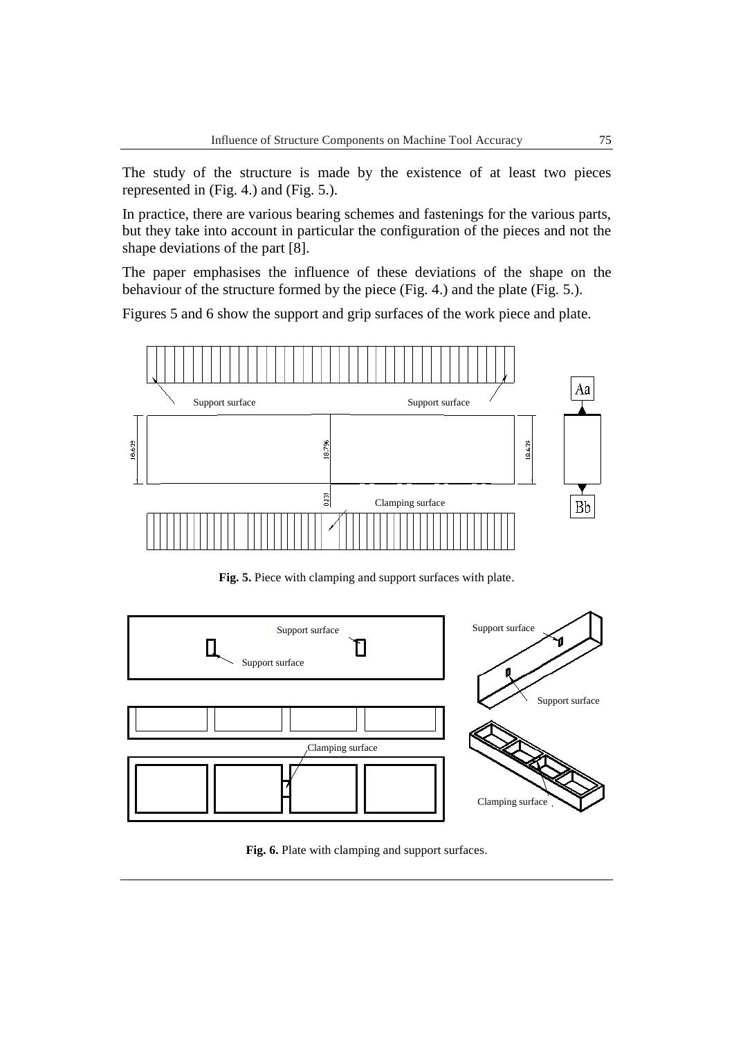The study of the structure is made by the existence of at least two pieces represented in (Fig. 4.) and (Fig. 5.).

In practice, there are various bearing schemes and fastenings for the various parts, but they take into account in particular the configuration of the pieces and not the shape deviations of the part [8].

The paper emphasises the influence of these deviations of the shape on the behaviour of the structure formed by the piece (Fig. 4.) and the plate (Fig. 5.).

Figures 5 and 6 show the support and grip surfaces of the work piece and plate.



**Fig. 5.** Piece with clamping and support surfaces with plate.



**Fig. 6.** Plate with clamping and support surfaces.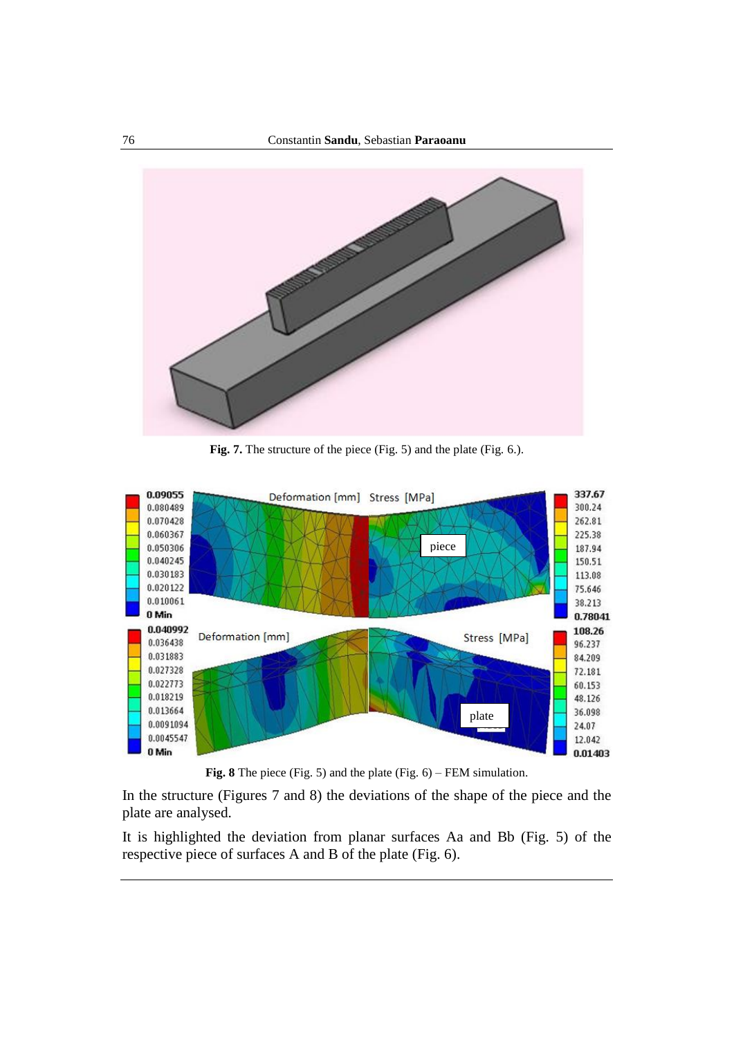

**Fig. 7.** The structure of the piece (Fig. 5) and the plate (Fig. 6.).



**Fig. 8** The piece (Fig. 5) and the plate (Fig. 6) – FEM simulation.

In the structure (Figures 7 and 8) the deviations of the shape of the piece and the plate are analysed.

It is highlighted the deviation from planar surfaces Aa and Bb (Fig. 5) of the respective piece of surfaces A and B of the plate (Fig. 6).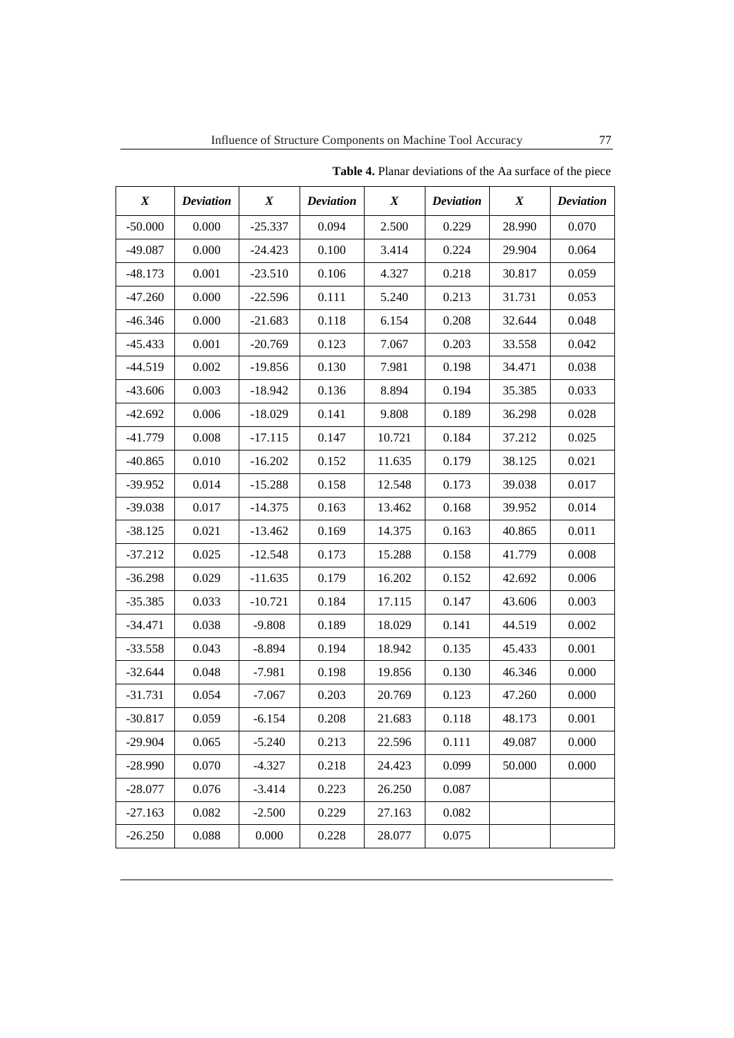| $\boldsymbol{X}$ | <b>Deviation</b> | $\boldsymbol{X}$ | <b>Deviation</b> | $\boldsymbol{X}$ | <b>Deviation</b> | $\boldsymbol{X}$ | <b>Deviation</b> |
|------------------|------------------|------------------|------------------|------------------|------------------|------------------|------------------|
| $-50.000$        | 0.000            | $-25.337$        | 0.094            | 2.500            | 0.229            | 28.990           | 0.070            |
| $-49.087$        | 0.000            | $-24.423$        | 0.100            | 3.414            | 0.224            | 29.904           | 0.064            |
| $-48.173$        | 0.001            | $-23.510$        | 0.106            | 4.327            | 0.218            | 30.817           | 0.059            |
| $-47.260$        | 0.000            | $-22.596$        | 0.111            | 5.240            | 0.213            | 31.731           | 0.053            |
| $-46.346$        | 0.000            | $-21.683$        | 0.118            | 6.154            | 0.208            | 32.644           | 0.048            |
| $-45.433$        | 0.001            | $-20.769$        | 0.123            | 7.067            | 0.203            | 33.558           | 0.042            |
| $-44.519$        | 0.002            | $-19.856$        | 0.130            | 7.981            | 0.198            | 34.471           | 0.038            |
| $-43.606$        | 0.003            | $-18.942$        | 0.136            | 8.894            | 0.194            | 35.385           | 0.033            |
| $-42.692$        | 0.006            | $-18.029$        | 0.141            | 9.808            | 0.189            | 36.298           | 0.028            |
| $-41.779$        | 0.008            | $-17.115$        | 0.147            | 10.721           | 0.184            | 37.212           | 0.025            |
| $-40.865$        | 0.010            | $-16.202$        | 0.152            | 11.635           | 0.179            | 38.125           | 0.021            |
| $-39.952$        | 0.014            | $-15.288$        | 0.158            | 12.548           | 0.173            | 39.038           | 0.017            |
| $-39.038$        | 0.017            | $-14.375$        | 0.163            | 13.462           | 0.168            | 39.952           | 0.014            |
| $-38.125$        | 0.021            | $-13.462$        | 0.169            | 14.375           | 0.163            | 40.865           | 0.011            |
| $-37.212$        | 0.025            | $-12.548$        | 0.173            | 15.288           | 0.158            | 41.779           | 0.008            |
| $-36.298$        | 0.029            | $-11.635$        | 0.179            | 16.202           | 0.152            | 42.692           | 0.006            |
| $-35.385$        | 0.033            | $-10.721$        | 0.184            | 17.115           | 0.147            | 43.606           | 0.003            |
| $-34.471$        | 0.038            | $-9.808$         | 0.189            | 18.029           | 0.141            | 44.519           | 0.002            |
| $-33.558$        | 0.043            | $-8.894$         | 0.194            | 18.942           | 0.135            | 45.433           | 0.001            |
| $-32.644$        | 0.048            | $-7.981$         | 0.198            | 19.856           | 0.130            | 46.346           | 0.000            |
| $-31.731$        | 0.054            | $-7.067$         | 0.203            | 20.769           | 0.123            | 47.260           | 0.000            |
| $-30.817$        | 0.059            | $-6.154$         | 0.208            | 21.683           | 0.118            | 48.173           | 0.001            |
| $-29.904$        | 0.065            | $-5.240$         | 0.213            | 22.596           | 0.111            | 49.087           | 0.000            |
| $-28.990$        | 0.070            | $-4.327$         | 0.218            | 24.423           | 0.099            | 50.000           | 0.000            |
| $-28.077$        | 0.076            | $-3.414$         | 0.223            | 26.250           | 0.087            |                  |                  |
| $-27.163$        | 0.082            | $-2.500$         | 0.229            | 27.163           | 0.082            |                  |                  |
| $-26.250$        | 0.088            | 0.000            | 0.228            | 28.077           | 0.075            |                  |                  |

**Table 4.** Planar deviations of the Aa surface of the piece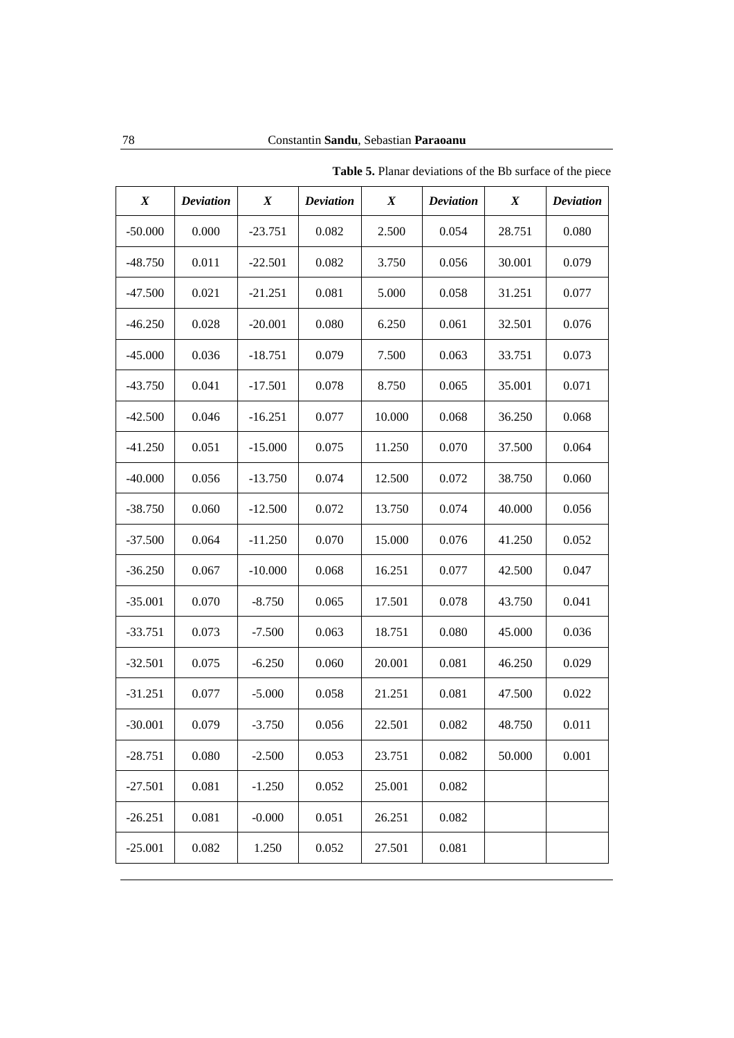| $\boldsymbol{X}$ | <b>Deviation</b> | $\boldsymbol{X}$ | <b>Deviation</b> | $\boldsymbol{X}$ | <b>Deviation</b> | $\boldsymbol{X}$ | <b>Deviation</b> |
|------------------|------------------|------------------|------------------|------------------|------------------|------------------|------------------|
| $-50.000$        | 0.000            | $-23.751$        | 0.082            | 2.500            | 0.054            | 28.751           | 0.080            |
| $-48.750$        | 0.011            | $-22.501$        | 0.082            | 3.750            | 0.056            | 30.001           | 0.079            |
| $-47.500$        | 0.021            | $-21.251$        | 0.081            | 5.000            | 0.058            | 31.251           | 0.077            |
| $-46.250$        | 0.028            | $-20.001$        | 0.080            | 6.250            | 0.061            | 32.501           | 0.076            |
| $-45.000$        | 0.036            | $-18.751$        | 0.079            | 7.500            | 0.063            | 33.751           | 0.073            |
| $-43.750$        | 0.041            | $-17.501$        | 0.078            | 8.750            | 0.065            | 35.001           | 0.071            |
| $-42.500$        | 0.046            | $-16.251$        | 0.077            | 10.000           | 0.068            | 36.250           | 0.068            |
| $-41.250$        | 0.051            | $-15.000$        | 0.075            | 11.250           | 0.070            | 37.500           | 0.064            |
| $-40.000$        | 0.056            | $-13.750$        | 0.074            | 12.500           | 0.072            | 38.750           | 0.060            |
| $-38.750$        | 0.060            | $-12.500$        | 0.072            | 13.750           | 0.074            | 40.000           | 0.056            |
| $-37.500$        | 0.064            | $-11.250$        | 0.070            | 15.000           | 0.076            | 41.250           | 0.052            |
| $-36.250$        | 0.067            | $-10.000$        | 0.068            | 16.251           | 0.077            | 42.500           | 0.047            |
| $-35.001$        | 0.070            | $-8.750$         | 0.065            | 17.501           | 0.078            | 43.750           | 0.041            |
| $-33.751$        | 0.073            | $-7.500$         | 0.063            | 18.751           | 0.080            | 45.000           | 0.036            |
| $-32.501$        | 0.075            | $-6.250$         | 0.060            | 20.001           | 0.081            | 46.250           | 0.029            |
| $-31.251$        | 0.077            | $-5.000$         | 0.058            | 21.251           | 0.081            | 47.500           | 0.022            |
| $-30.001$        | 0.079            | $-3.750$         | 0.056            | 22.501           | 0.082            | 48.750           | 0.011            |
| $-28.751$        | 0.080            | $-2.500$         | 0.053            | 23.751           | 0.082            | 50.000           | 0.001            |
| $-27.501$        | 0.081            | $-1.250$         | 0.052            | 25.001           | 0.082            |                  |                  |
| $-26.251$        | 0.081            | $-0.000$         | 0.051            | 26.251           | 0.082            |                  |                  |
| $-25.001$        | 0.082            | 1.250            | 0.052            | 27.501           | 0.081            |                  |                  |

**Table 5.** Planar deviations of the Bb surface of the piece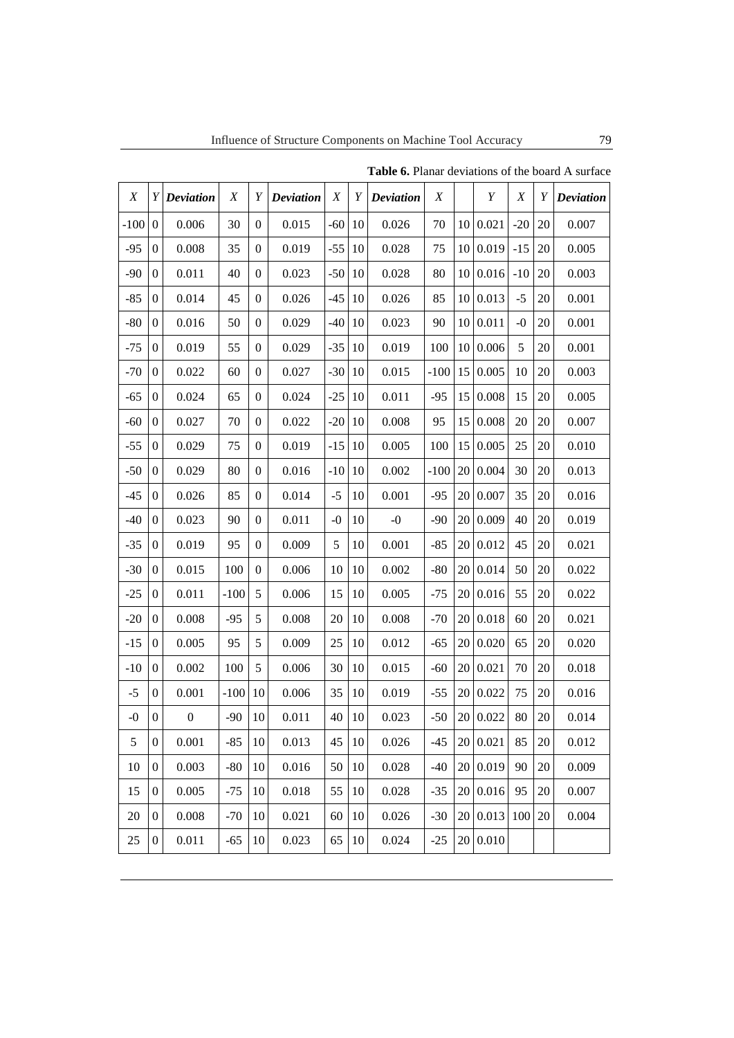| $\boldsymbol{X}$ |                  | $Y$ Deviation    | X      | Y                | <b>Deviation</b> | X     | Y  | <b>Deviation</b> | X      |    | Y        | X     | Y  | <b>Deviation</b> |
|------------------|------------------|------------------|--------|------------------|------------------|-------|----|------------------|--------|----|----------|-------|----|------------------|
| $-100$           | $\Omega$         | 0.006            | 30     | $\theta$         | 0.015            | $-60$ | 10 | 0.026            | 70     | 10 | 0.021    | $-20$ | 20 | 0.007            |
| $-95$            | $\boldsymbol{0}$ | 0.008            | 35     | $\boldsymbol{0}$ | 0.019            | $-55$ | 10 | 0.028            | 75     | 10 | 0.019    | $-15$ | 20 | 0.005            |
| $-90$            | $\boldsymbol{0}$ | 0.011            | 40     | $\boldsymbol{0}$ | 0.023            | $-50$ | 10 | 0.028            | 80     | 10 | 0.016    | $-10$ | 20 | 0.003            |
| $-85$            | $\overline{0}$   | 0.014            | 45     | $\overline{0}$   | 0.026            | $-45$ | 10 | 0.026            | 85     | 10 | 0.013    | $-5$  | 20 | 0.001            |
| $-80$            | $\boldsymbol{0}$ | 0.016            | 50     | $\boldsymbol{0}$ | 0.029            | $-40$ | 10 | 0.023            | 90     | 10 | 0.011    | $-0$  | 20 | 0.001            |
| $-75$            | $\boldsymbol{0}$ | 0.019            | 55     | $\boldsymbol{0}$ | 0.029            | $-35$ | 10 | 0.019            | 100    | 10 | 0.006    | 5     | 20 | 0.001            |
| $-70$            | $\overline{0}$   | 0.022            | 60     | $\overline{0}$   | 0.027            | $-30$ | 10 | 0.015            | $-100$ | 15 | 0.005    | 10    | 20 | 0.003            |
| $-65$            | $\boldsymbol{0}$ | 0.024            | 65     | $\boldsymbol{0}$ | 0.024            | $-25$ | 10 | 0.011            | $-95$  | 15 | 0.008    | 15    | 20 | 0.005            |
| $-60$            | $\boldsymbol{0}$ | 0.027            | $70\,$ | $\boldsymbol{0}$ | 0.022            | $-20$ | 10 | 0.008            | 95     | 15 | 0.008    | 20    | 20 | 0.007            |
| $-55$            | $\overline{0}$   | 0.029            | 75     | $\overline{0}$   | 0.019            | $-15$ | 10 | 0.005            | 100    | 15 | 0.005    | 25    | 20 | 0.010            |
| $-50$            | $\boldsymbol{0}$ | 0.029            | 80     | $\boldsymbol{0}$ | 0.016            | $-10$ | 10 | 0.002            | $-100$ | 20 | 0.004    | 30    | 20 | 0.013            |
| $-45$            | $\boldsymbol{0}$ | 0.026            | 85     | $\boldsymbol{0}$ | 0.014            | $-5$  | 10 | 0.001            | $-95$  | 20 | 0.007    | 35    | 20 | 0.016            |
| $-40$            | $\overline{0}$   | 0.023            | 90     | $\theta$         | 0.011            | $-0$  | 10 | $-0$             | $-90$  | 20 | 0.009    | 40    | 20 | 0.019            |
| $-35$            | $\boldsymbol{0}$ | 0.019            | 95     | $\boldsymbol{0}$ | 0.009            | 5     | 10 | 0.001            | $-85$  | 20 | 0.012    | 45    | 20 | 0.021            |
| $-30$            | $\boldsymbol{0}$ | 0.015            | 100    | $\boldsymbol{0}$ | 0.006            | 10    | 10 | 0.002            | $-80$  | 20 | 0.014    | 50    | 20 | 0.022            |
| $-25$            | $\overline{0}$   | 0.011            | $-100$ | 5                | 0.006            | 15    | 10 | 0.005            | $-75$  | 20 | 0.016    | 55    | 20 | 0.022            |
| $-20$            | $\boldsymbol{0}$ | 0.008            | $-95$  | 5                | 0.008            | 20    | 10 | 0.008            | $-70$  | 20 | 0.018    | 60    | 20 | 0.021            |
| $-15$            | $\boldsymbol{0}$ | 0.005            | 95     | 5                | 0.009            | 25    | 10 | 0.012            | $-65$  | 20 | 0.020    | 65    | 20 | 0.020            |
| $-10$            | $\overline{0}$   | 0.002            | 100    | 5                | 0.006            | 30    | 10 | 0.015            | $-60$  | 20 | 0.021    | 70    | 20 | 0.018            |
| $-5$             | $\boldsymbol{0}$ | 0.001            | $-100$ | 10               | 0.006            | 35    | 10 | 0.019            | $-55$  | 20 | 0.022    | 75    | 20 | 0.016            |
| $-0$             | $\boldsymbol{0}$ | $\boldsymbol{0}$ | $-90$  | 10               | 0.011            | 40    | 10 | 0.023            | $-50$  | 20 | 0.022    | 80    | 20 | 0.014            |
| 5                | $\boldsymbol{0}$ | 0.001            | $-85$  | 10               | 0.013            | 45    | 10 | 0.026            | $-45$  |    | 20 0.021 | 85    | 20 | 0.012            |
| 10               | $\overline{0}$   | 0.003            | $-80$  | 10               | 0.016            | 50    | 10 | 0.028            | $-40$  | 20 | 0.019    | 90    | 20 | 0.009            |
| 15               | $\boldsymbol{0}$ | 0.005            | $-75$  | 10               | 0.018            | 55    | 10 | 0.028            | $-35$  |    | 20 0.016 | 95    | 20 | 0.007            |
| 20               | $\boldsymbol{0}$ | 0.008            | $-70$  | 10               | 0.021            | 60    | 10 | 0.026            | $-30$  | 20 | 0.013    | 100   | 20 | 0.004            |
| 25               | $\overline{0}$   | 0.011            | $-65$  | 10               | 0.023            | 65    | 10 | 0.024            | $-25$  |    | 20 0.010 |       |    |                  |

**Table 6.** Planar deviations of the board A surface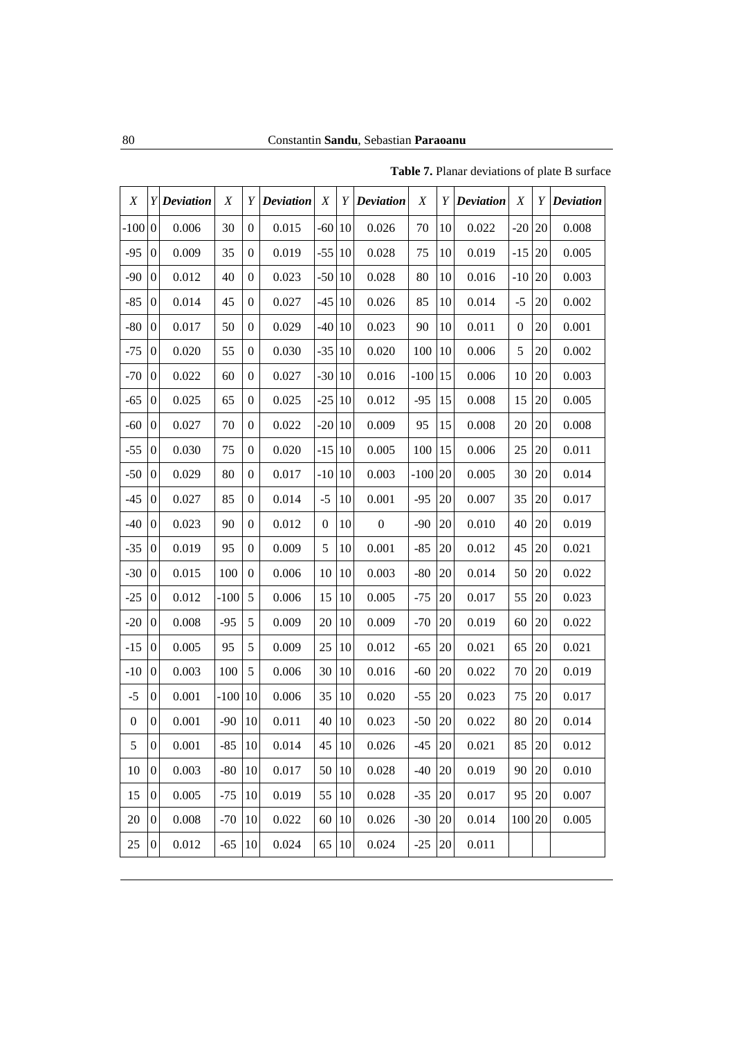| X                |                  | $Y$ Deviation | X      | Y                | <b>Deviation</b> | X                |    | Y Deviation      | X      | Υ  | <b>Deviation</b> | X                | Y  | <b>Deviation</b> |
|------------------|------------------|---------------|--------|------------------|------------------|------------------|----|------------------|--------|----|------------------|------------------|----|------------------|
| $-100$           | $\boldsymbol{0}$ | 0.006         | 30     | $\boldsymbol{0}$ | 0.015            | $-60$ 10         |    | 0.026            | 70     | 10 | 0.022            | $-20$            | 20 | 0.008            |
| $-95$            | $\boldsymbol{0}$ | 0.009         | 35     | $\boldsymbol{0}$ | 0.019            | $-55$            | 10 | 0.028            | 75     | 10 | 0.019            | $-15$            | 20 | 0.005            |
| $-90$            | $\mathbf{0}$     | 0.012         | 40     | $\mathbf{0}$     | 0.023            | $-50 10$         |    | 0.028            | 80     | 10 | 0.016            | $-10$            | 20 | 0.003            |
| $-85$            | $\boldsymbol{0}$ | 0.014         | 45     | $\boldsymbol{0}$ | 0.027            | $-45 10$         |    | 0.026            | 85     | 10 | 0.014            | $-5$             | 20 | 0.002            |
| $-80$            | $\boldsymbol{0}$ | 0.017         | 50     | $\boldsymbol{0}$ | 0.029            | $-40$ 10         |    | 0.023            | 90     | 10 | 0.011            | $\boldsymbol{0}$ | 20 | 0.001            |
| $-75$            | $\mathbf{0}$     | 0.020         | 55     | $\mathbf{0}$     | 0.030            | $-35 10$         |    | 0.020            | 100    | 10 | 0.006            | 5                | 20 | 0.002            |
| $-70$            | $\boldsymbol{0}$ | 0.022         | 60     | $\boldsymbol{0}$ | 0.027            | $-30 10$         |    | 0.016            | $-100$ | 15 | 0.006            | 10               | 20 | 0.003            |
| $-65$            | $\boldsymbol{0}$ | 0.025         | 65     | $\boldsymbol{0}$ | 0.025            | $-25$ 10         |    | 0.012            | $-95$  | 15 | 0.008            | 15               | 20 | 0.005            |
| $-60$            | $\mathbf{0}$     | 0.027         | 70     | $\mathbf{0}$     | 0.022            | $-20 10$         |    | 0.009            | 95     | 15 | 0.008            | 20               | 20 | 0.008            |
| $-55$            | $\boldsymbol{0}$ | 0.030         | 75     | $\boldsymbol{0}$ | 0.020            | $-15$ 10         |    | 0.005            | 100    | 15 | 0.006            | 25               | 20 | 0.011            |
| $-50$            | $\boldsymbol{0}$ | 0.029         | 80     | $\boldsymbol{0}$ | 0.017            | $-10 10$         |    | 0.003            | $-100$ | 20 | 0.005            | 30               | 20 | 0.014            |
| $-45$            | $\mathbf{0}$     | 0.027         | 85     | $\mathbf{0}$     | 0.014            | $-5$             | 10 | 0.001            | $-95$  | 20 | 0.007            | 35               | 20 | 0.017            |
| $-40$            | $\boldsymbol{0}$ | 0.023         | 90     | $\boldsymbol{0}$ | 0.012            | $\boldsymbol{0}$ | 10 | $\boldsymbol{0}$ | $-90$  | 20 | 0.010            | 40               | 20 | 0.019            |
| $-35$            | $\boldsymbol{0}$ | 0.019         | 95     | $\boldsymbol{0}$ | 0.009            | 5                | 10 | 0.001            | $-85$  | 20 | 0.012            | 45               | 20 | 0.021            |
| $-30$            | $\mathbf{0}$     | 0.015         | 100    | $\mathbf{0}$     | 0.006            | 10               | 10 | 0.003            | $-80$  | 20 | 0.014            | 50               | 20 | 0.022            |
| $-25$            | $\boldsymbol{0}$ | 0.012         | $-100$ | 5                | 0.006            | 15               | 10 | 0.005            | $-75$  | 20 | 0.017            | 55               | 20 | 0.023            |
| $-20$            | $\boldsymbol{0}$ | 0.008         | $-95$  | 5                | 0.009            | 20               | 10 | 0.009            | $-70$  | 20 | 0.019            | 60               | 20 | 0.022            |
| $-15$            | $\mathbf{0}$     | 0.005         | 95     | 5                | 0.009            | 25               | 10 | 0.012            | $-65$  | 20 | 0.021            | 65               | 20 | 0.021            |
| $-10$            | $\boldsymbol{0}$ | 0.003         | 100    | 5                | 0.006            | 30               | 10 | 0.016            | $-60$  | 20 | 0.022            | 70               | 20 | 0.019            |
| $-5$             | $\boldsymbol{0}$ | 0.001         | $-100$ | 10               | 0.006            | 35               | 10 | 0.020            | $-55$  | 20 | 0.023            | 75               | 20 | 0.017            |
| $\boldsymbol{0}$ | $\boldsymbol{0}$ | 0.001         | $-90$  | 10               | 0.011            | 40               | 10 | 0.023            | $-50$  | 20 | 0.022            | 80               | 20 | 0.014            |
| 5                | $\boldsymbol{0}$ | 0.001         | $-85$  | 10               | 0.014            | 45   10          |    | 0.026            | $-45$  | 20 | 0.021            | 85               | 20 | 0.012            |
| 10               | $\boldsymbol{0}$ | 0.003         | $-80$  | 10               | 0.017            | 50               | 10 | 0.028            | $-40$  | 20 | 0.019            | 90               | 20 | 0.010            |
| 15               | $\boldsymbol{0}$ | 0.005         | $-75$  | 10               | 0.019            | 55               | 10 | 0.028            | $-35$  | 20 | 0.017            | 95               | 20 | 0.007            |
| 20               | $\boldsymbol{0}$ | 0.008         | $-70$  | 10               | 0.022            | 60               | 10 | 0.026            | $-30$  | 20 | 0.014            | 100 20           |    | 0.005            |
| 25               | $\boldsymbol{0}$ | 0.012         | $-65$  | 10               | 0.024            | 65               | 10 | 0.024            | $-25$  | 20 | 0.011            |                  |    |                  |

**Table 7.** Planar deviations of plate B surface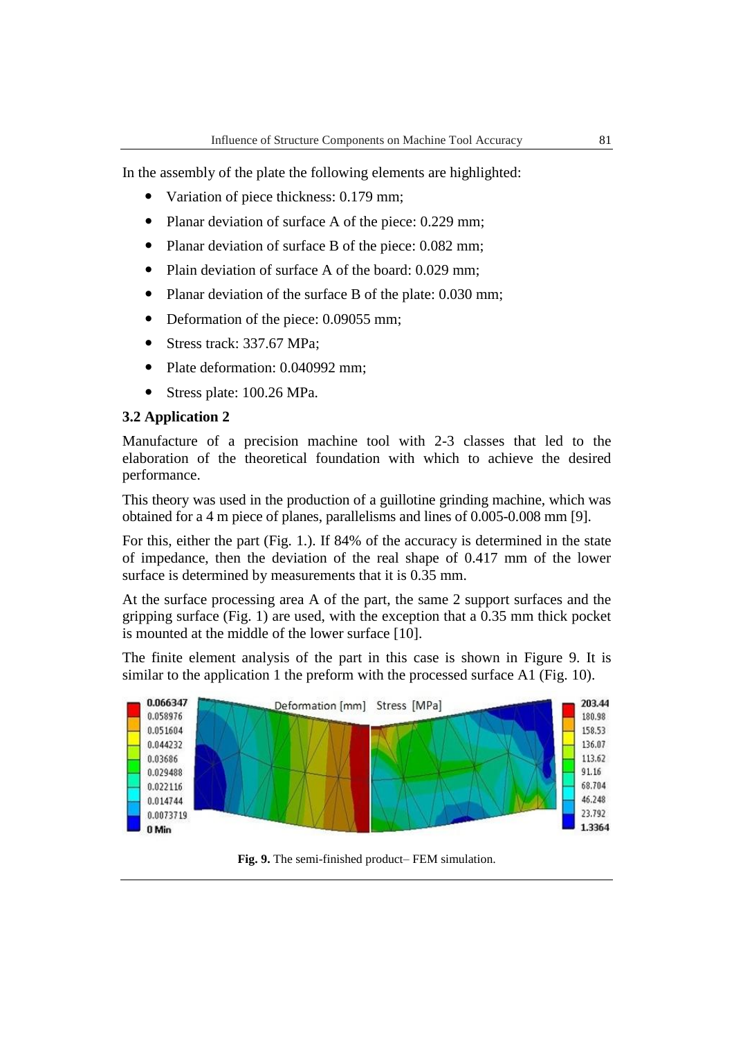In the assembly of the plate the following elements are highlighted:

- Variation of piece thickness: 0.179 mm;
- Planar deviation of surface A of the piece: 0.229 mm;
- Planar deviation of surface B of the piece: 0.082 mm;
- Plain deviation of surface A of the board: 0.029 mm;
- Planar deviation of the surface B of the plate: 0.030 mm;
- Deformation of the piece: 0.09055 mm;
- Stress track: 337.67 MPa;
- Plate deformation: 0.040992 mm;
- Stress plate: 100.26 MPa.

#### **3.2 Application 2**

Manufacture of a precision machine tool with 2-3 classes that led to the elaboration of the theoretical foundation with which to achieve the desired performance.

This theory was used in the production of a guillotine grinding machine, which was obtained for a 4 m piece of planes, parallelisms and lines of 0.005-0.008 mm [9].

For this, either the part (Fig. 1.). If 84% of the accuracy is determined in the state of impedance, then the deviation of the real shape of 0.417 mm of the lower surface is determined by measurements that it is 0.35 mm.

At the surface processing area A of the part, the same 2 support surfaces and the gripping surface (Fig. 1) are used, with the exception that a 0.35 mm thick pocket is mounted at the middle of the lower surface [10].

The finite element analysis of the part in this case is shown in Figure 9. It is similar to the application 1 the preform with the processed surface A1 (Fig. 10).



**Fig. 9.** The semi-finished product– FEM simulation.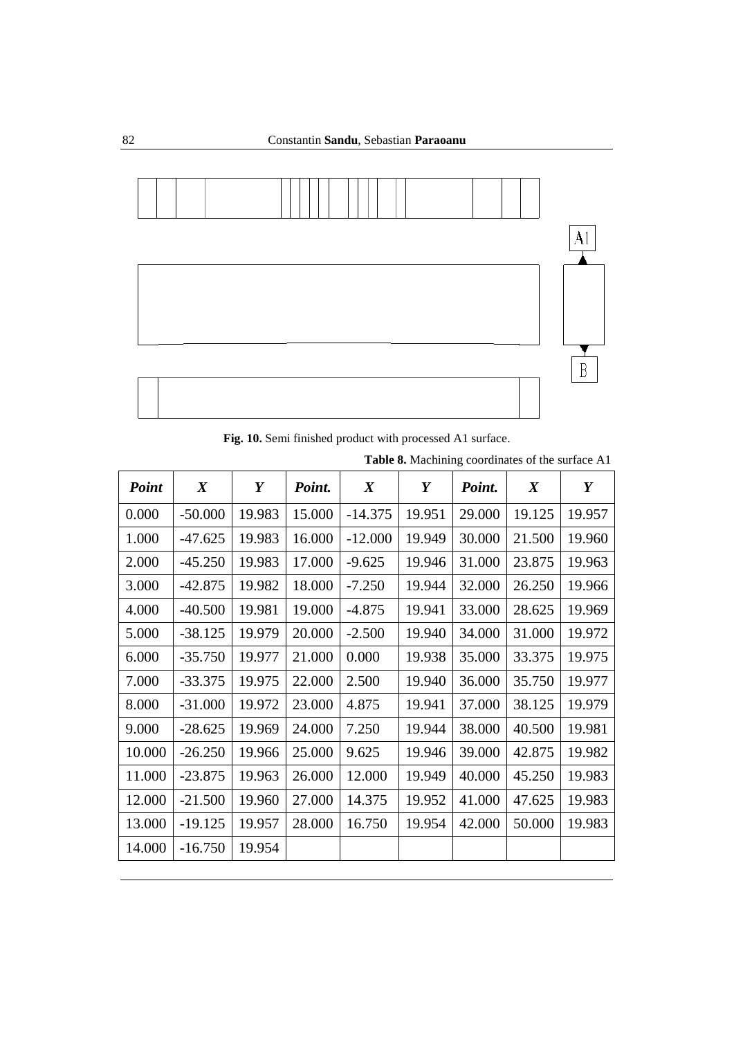

**Fig. 10.** Semi finished product with processed A1 surface.

|  |  | Table 8. Machining coordinates of the surface A1 |  |  |
|--|--|--------------------------------------------------|--|--|
|--|--|--------------------------------------------------|--|--|

| <b>Point</b> | $\boldsymbol{X}$ | Y      | Point. | $\boldsymbol{X}$ | Y      | Point. | $\boldsymbol{X}$ | Y      |
|--------------|------------------|--------|--------|------------------|--------|--------|------------------|--------|
| 0.000        | $-50.000$        | 19.983 | 15.000 | $-14.375$        | 19.951 | 29.000 | 19.125           | 19.957 |
| 1.000        | $-47.625$        | 19.983 | 16.000 | $-12.000$        | 19.949 | 30.000 | 21.500           | 19.960 |
| 2.000        | $-45.250$        | 19.983 | 17.000 | $-9.625$         | 19.946 | 31.000 | 23.875           | 19.963 |
| 3.000        | $-42.875$        | 19.982 | 18.000 | $-7.250$         | 19.944 | 32.000 | 26.250           | 19.966 |
| 4.000        | $-40.500$        | 19.981 | 19.000 | $-4.875$         | 19.941 | 33.000 | 28.625           | 19.969 |
| 5.000        | $-38.125$        | 19.979 | 20.000 | $-2.500$         | 19.940 | 34.000 | 31.000           | 19.972 |
| 6.000        | $-35.750$        | 19.977 | 21.000 | 0.000            | 19.938 | 35.000 | 33.375           | 19.975 |
| 7.000        | $-33.375$        | 19.975 | 22.000 | 2.500            | 19.940 | 36.000 | 35.750           | 19.977 |
| 8.000        | $-31.000$        | 19.972 | 23.000 | 4.875            | 19.941 | 37.000 | 38.125           | 19.979 |
| 9.000        | $-28.625$        | 19.969 | 24.000 | 7.250            | 19.944 | 38.000 | 40.500           | 19.981 |
| 10.000       | $-26.250$        | 19.966 | 25.000 | 9.625            | 19.946 | 39.000 | 42.875           | 19.982 |
| 11.000       | $-23.875$        | 19.963 | 26.000 | 12.000           | 19.949 | 40.000 | 45.250           | 19.983 |
| 12.000       | $-21.500$        | 19.960 | 27.000 | 14.375           | 19.952 | 41.000 | 47.625           | 19.983 |
| 13.000       | $-19.125$        | 19.957 | 28.000 | 16.750           | 19.954 | 42.000 | 50.000           | 19.983 |
| 14.000       | $-16.750$        | 19.954 |        |                  |        |        |                  |        |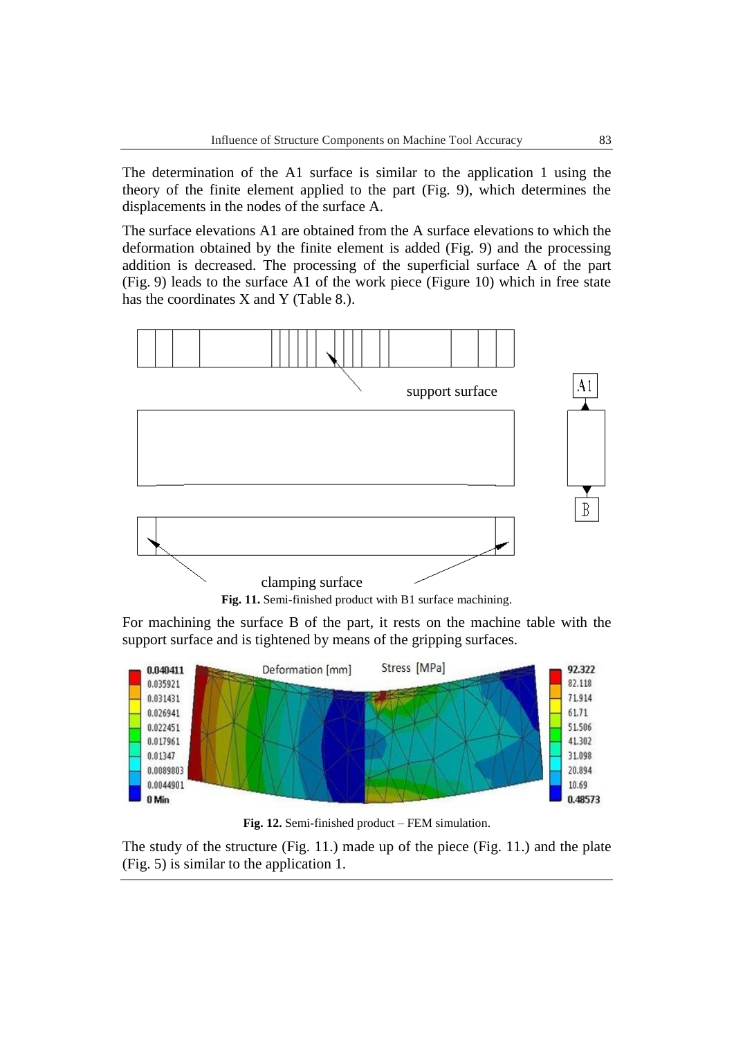The determination of the A1 surface is similar to the application 1 using the theory of the finite element applied to the part (Fig. 9), which determines the displacements in the nodes of the surface A.

The surface elevations A1 are obtained from the A surface elevations to which the deformation obtained by the finite element is added (Fig. 9) and the processing addition is decreased. The processing of the superficial surface A of the part (Fig. 9) leads to the surface A1 of the work piece (Figure 10) which in free state has the coordinates X and Y (Table 8.).



**Fig. 11.** Semi-finished product with B1 surface machining.

For machining the surface B of the part, it rests on the machine table with the support surface and is tightened by means of the gripping surfaces.



**Fig. 12.** Semi-finished product – FEM simulation.

The study of the structure (Fig. 11.) made up of the piece (Fig. 11.) and the plate (Fig. 5) is similar to the application 1.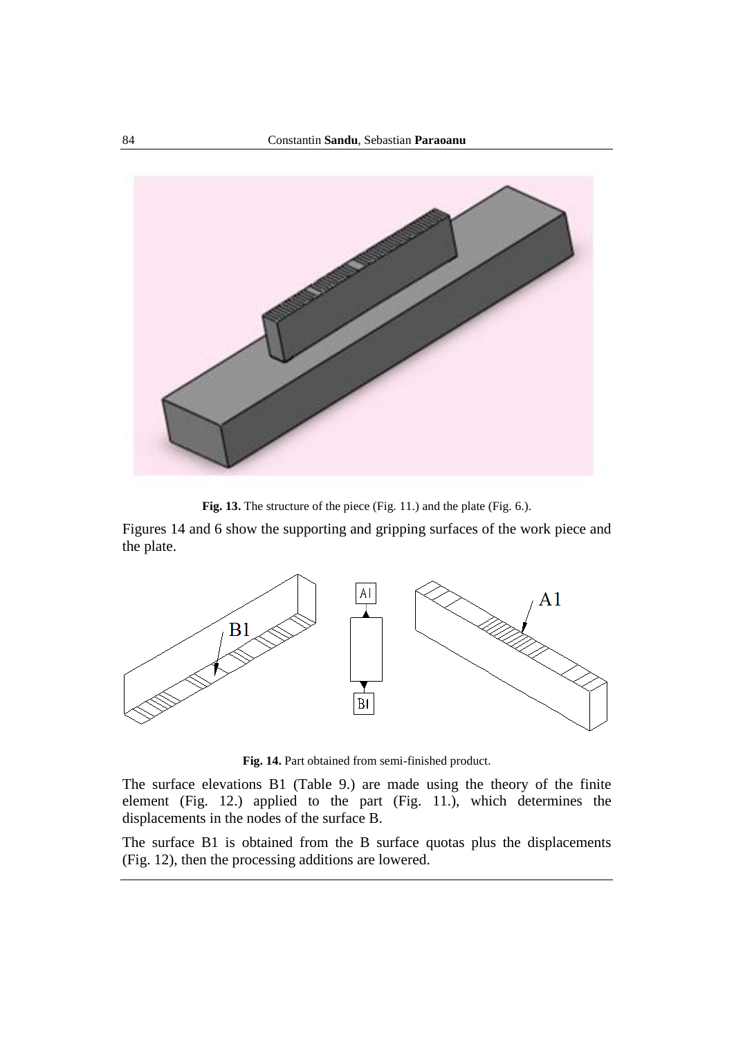

**Fig. 13.** The structure of the piece (Fig. 11.) and the plate (Fig. 6.).

Figures 14 and 6 show the supporting and gripping surfaces of the work piece and the plate.



**Fig. 14.** Part obtained from semi-finished product.

The surface elevations B1 (Table 9.) are made using the theory of the finite element (Fig. 12.) applied to the part (Fig. 11.), which determines the displacements in the nodes of the surface B.

The surface B1 is obtained from the B surface quotas plus the displacements (Fig. 12), then the processing additions are lowered.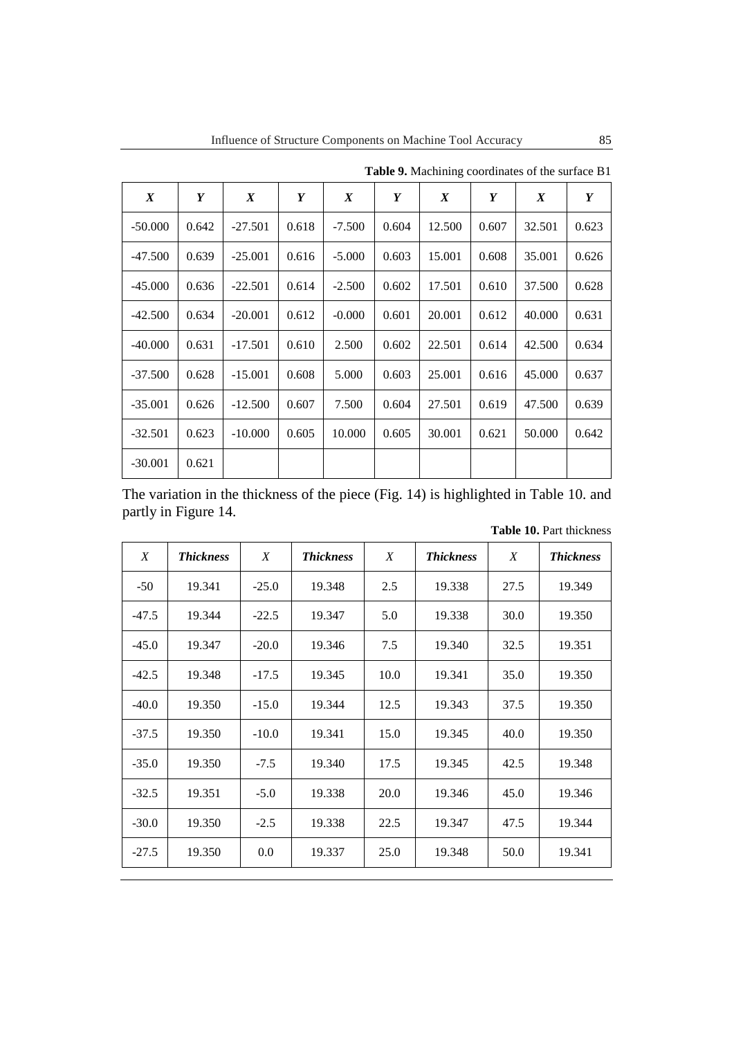| $\boldsymbol{X}$ | Y     | $\boldsymbol{X}$ | Y     | $\boldsymbol{X}$ | Y     | $\boldsymbol{X}$ | Y     | X      | Y     |
|------------------|-------|------------------|-------|------------------|-------|------------------|-------|--------|-------|
| $-50.000$        | 0.642 | $-27.501$        | 0.618 | $-7.500$         | 0.604 | 12.500           | 0.607 | 32.501 | 0.623 |
| -47.500          | 0.639 | $-25.001$        | 0.616 | $-5.000$         | 0.603 | 15.001           | 0.608 | 35.001 | 0.626 |
| $-45.000$        | 0.636 | $-22.501$        | 0.614 | $-2.500$         | 0.602 | 17.501           | 0.610 | 37.500 | 0.628 |
| $-42.500$        | 0.634 | $-20.001$        | 0.612 | $-0.000$         | 0.601 | 20.001           | 0.612 | 40.000 | 0.631 |
| $-40.000$        | 0.631 | $-17.501$        | 0.610 | 2.500            | 0.602 | 22.501           | 0.614 | 42.500 | 0.634 |
| $-37.500$        | 0.628 | $-15.001$        | 0.608 | 5.000            | 0.603 | 25.001           | 0.616 | 45.000 | 0.637 |
| $-35.001$        | 0.626 | $-12.500$        | 0.607 | 7.500            | 0.604 | 27.501           | 0.619 | 47.500 | 0.639 |
| $-32.501$        | 0.623 | $-10.000$        | 0.605 | 10.000           | 0.605 | 30.001           | 0.621 | 50.000 | 0.642 |
| $-30.001$        | 0.621 |                  |       |                  |       |                  |       |        |       |

**Table 9.** Machining coordinates of the surface B1

The variation in the thickness of the piece (Fig. 14) is highlighted in Table 10. and partly in Figure 14.

| X       | <b>Thickness</b> | X       | <b>Thickness</b> | X    | <b>Thickness</b> | X    | <b>Thickness</b> |
|---------|------------------|---------|------------------|------|------------------|------|------------------|
| $-50$   | 19.341           | $-25.0$ | 19.348           | 2.5  | 19.338           | 27.5 | 19.349           |
| $-47.5$ | 19.344           | $-22.5$ | 19.347           | 5.0  | 19.338           | 30.0 | 19.350           |
| $-45.0$ | 19.347           | $-20.0$ | 19.346           | 7.5  | 19.340           | 32.5 | 19.351           |
| $-42.5$ | 19.348           | $-17.5$ | 19.345           | 10.0 | 19.341           | 35.0 | 19.350           |
| $-40.0$ | 19.350           | $-15.0$ | 19.344           | 12.5 | 19.343           | 37.5 | 19.350           |
| $-37.5$ | 19.350           | $-10.0$ | 19.341           | 15.0 | 19.345           | 40.0 | 19.350           |
| $-35.0$ | 19.350           | $-7.5$  | 19.340           | 17.5 | 19.345           | 42.5 | 19.348           |
| $-32.5$ | 19.351           | $-5.0$  | 19.338           | 20.0 | 19.346           | 45.0 | 19.346           |
| $-30.0$ | 19.350           | $-2.5$  | 19.338           | 22.5 | 19.347           | 47.5 | 19.344           |
| $-27.5$ | 19.350           | 0.0     | 19.337           | 25.0 | 19.348           | 50.0 | 19.341           |

**Table 10.** Part thickness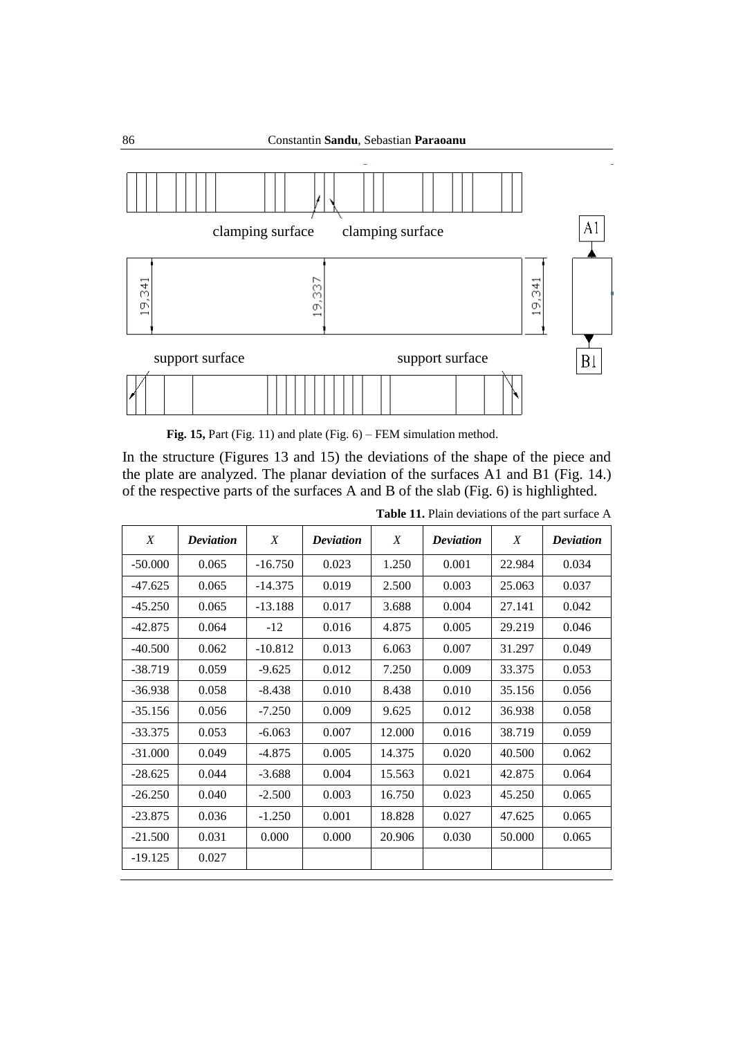

**Fig. 15,** Part (Fig. 11) and plate (Fig. 6) – FEM simulation method.

In the structure (Figures 13 and 15) the deviations of the shape of the piece and the plate are analyzed. The planar deviation of the surfaces A1 and B1 (Fig. 14.) of the respective parts of the surfaces A and B of the slab (Fig. 6) is highlighted.

| X         | <b>Deviation</b> | X         | <b>Deviation</b> | X      | <b>Deviation</b> | X      | <b>Deviation</b> |
|-----------|------------------|-----------|------------------|--------|------------------|--------|------------------|
| $-50.000$ | 0.065            | $-16.750$ | 0.023            | 1.250  | 0.001            | 22.984 | 0.034            |
| $-47.625$ | 0.065            | $-14.375$ | 0.019            | 2.500  | 0.003            | 25.063 | 0.037            |
| $-45.250$ | 0.065            | $-13.188$ | 0.017            | 3.688  | 0.004            | 27.141 | 0.042            |
| $-42.875$ | 0.064            | $-12$     | 0.016            | 4.875  | 0.005            | 29.219 | 0.046            |
| $-40.500$ | 0.062            | $-10.812$ | 0.013            | 6.063  | 0.007            | 31.297 | 0.049            |
| $-38.719$ | 0.059            | $-9.625$  | 0.012            | 7.250  | 0.009            | 33.375 | 0.053            |
| $-36.938$ | 0.058            | $-8.438$  | 0.010            | 8.438  | 0.010            | 35.156 | 0.056            |
| $-35.156$ | 0.056            | $-7.250$  | 0.009            | 9.625  | 0.012            | 36.938 | 0.058            |
| $-33.375$ | 0.053            | $-6.063$  | 0.007            | 12.000 | 0.016            | 38.719 | 0.059            |
| $-31.000$ | 0.049            | $-4.875$  | 0.005            | 14.375 | 0.020            | 40.500 | 0.062            |
| $-28.625$ | 0.044            | $-3.688$  | 0.004            | 15.563 | 0.021            | 42.875 | 0.064            |
| $-26.250$ | 0.040            | $-2.500$  | 0.003            | 16.750 | 0.023            | 45.250 | 0.065            |
| $-23.875$ | 0.036            | $-1.250$  | 0.001            | 18.828 | 0.027            | 47.625 | 0.065            |
| $-21.500$ | 0.031            | 0.000     | 0.000            | 20.906 | 0.030            | 50.000 | 0.065            |
| $-19.125$ | 0.027            |           |                  |        |                  |        |                  |

**Table 11.** Plain deviations of the part surface A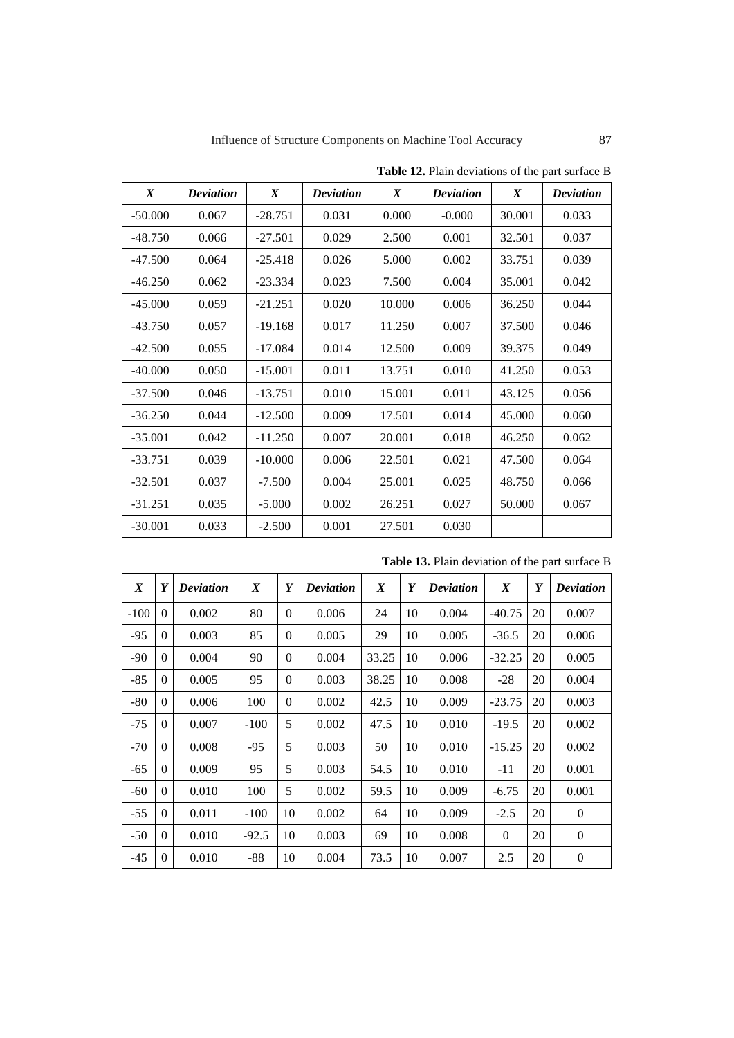| $\boldsymbol{X}$ | <b>Deviation</b> | $\boldsymbol{X}$ | <b>Deviation</b> | $\boldsymbol{X}$ | <b>Deviation</b> | $\boldsymbol{X}$ | <b>Deviation</b> |
|------------------|------------------|------------------|------------------|------------------|------------------|------------------|------------------|
| -50.000          | 0.067            | $-28.751$        | 0.031            | 0.000            | $-0.000$         | 30.001           | 0.033            |
| -48.750          | 0.066            | $-27.501$        | 0.029            | 2.500            | 0.001            | 32.501           | 0.037            |
| -47.500          | 0.064            | $-25.418$        | 0.026            | 5.000            | 0.002            | 33.751           | 0.039            |
| -46.250          | 0.062            | $-23.334$        | 0.023            | 7.500            | 0.004            | 35.001           | 0.042            |
| -45.000          | 0.059            | $-21.251$        | 0.020            | 10.000           | 0.006            | 36.250           | 0.044            |
| $-43.750$        | 0.057            | $-19.168$        | 0.017            | 11.250           | 0.007            | 37.500           | 0.046            |
| -42.500          | 0.055            | $-17.084$        | 0.014            | 12.500           | 0.009            | 39.375           | 0.049            |
| -40.000          | 0.050            | $-15.001$        | 0.011            | 13.751           | 0.010            | 41.250           | 0.053            |
| -37.500          | 0.046            | $-13.751$        | 0.010            | 15.001           | 0.011            | 43.125           | 0.056            |
| -36.250          | 0.044            | $-12.500$        | 0.009            | 17.501           | 0.014            | 45.000           | 0.060            |
| $-35.001$        | 0.042            | $-11.250$        | 0.007            | 20.001           | 0.018            | 46.250           | 0.062            |
| -33.751          | 0.039            | $-10.000$        | 0.006            | 22.501           | 0.021            | 47.500           | 0.064            |
| -32.501          | 0.037            | $-7.500$         | 0.004            | 25.001           | 0.025            | 48.750           | 0.066            |
| $-31.251$        | 0.035            | $-5.000$         | 0.002            | 26.251           | 0.027            | 50.000           | 0.067            |
| $-30.001$        | 0.033            | $-2.500$         | 0.001            | 27.501           | 0.030            |                  |                  |

**Table 12.** Plain deviations of the part surface B

|  |  |  |  | Table 13. Plain deviation of the part surface B |  |
|--|--|--|--|-------------------------------------------------|--|
|--|--|--|--|-------------------------------------------------|--|

| $\boldsymbol{X}$ | Y        | <b>Deviation</b> | $\boldsymbol{X}$ | Y            | <b>Deviation</b> | $\boldsymbol{X}$ | Y  | <b>Deviation</b> | $\boldsymbol{X}$ | Y  | <b>Deviation</b> |
|------------------|----------|------------------|------------------|--------------|------------------|------------------|----|------------------|------------------|----|------------------|
| $-100$           | $\theta$ | 0.002            | 80               | $\Omega$     | 0.006            | 24               | 10 | 0.004            | $-40.75$         | 20 | 0.007            |
| $-95$            | $\Omega$ | 0.003            | 85               | $\mathbf{0}$ | 0.005            | 29               | 10 | 0.005            | $-36.5$          | 20 | 0.006            |
| $-90$            | $\Omega$ | 0.004            | 90               | $\Omega$     | 0.004            | 33.25            | 10 | 0.006            | $-32.25$         | 20 | 0.005            |
| $-85$            | $\Omega$ | 0.005            | 95               | $\Omega$     | 0.003            | 38.25            | 10 | 0.008            | $-28$            | 20 | 0.004            |
| $-80$            | $\Omega$ | 0.006            | 100              | $\Omega$     | 0.002            | 42.5             | 10 | 0.009            | $-23.75$         | 20 | 0.003            |
| $-75$            | $\theta$ | 0.007            | $-100$           | 5            | 0.002            | 47.5             | 10 | 0.010            | $-19.5$          | 20 | 0.002            |
| $-70$            | $\Omega$ | 0.008            | $-95$            | 5            | 0.003            | 50               | 10 | 0.010            | $-15.25$         | 20 | 0.002            |
| $-65$            | $\theta$ | 0.009            | 95               | 5            | 0.003            | 54.5             | 10 | 0.010            | $-11$            | 20 | 0.001            |
| $-60$            | $\Omega$ | 0.010            | 100              | 5            | 0.002            | 59.5             | 10 | 0.009            | $-6.75$          | 20 | 0.001            |
| $-55$            | $\Omega$ | 0.011            | $-100$           | 10           | 0.002            | 64               | 10 | 0.009            | $-2.5$           | 20 | $\mathbf{0}$     |
| $-50$            | $\Omega$ | 0.010            | $-92.5$          | 10           | 0.003            | 69               | 10 | 0.008            | $\Omega$         | 20 | $\boldsymbol{0}$ |
| -45              | $\Omega$ | 0.010            | -88              | 10           | 0.004            | 73.5             | 10 | 0.007            | 2.5              | 20 | $\theta$         |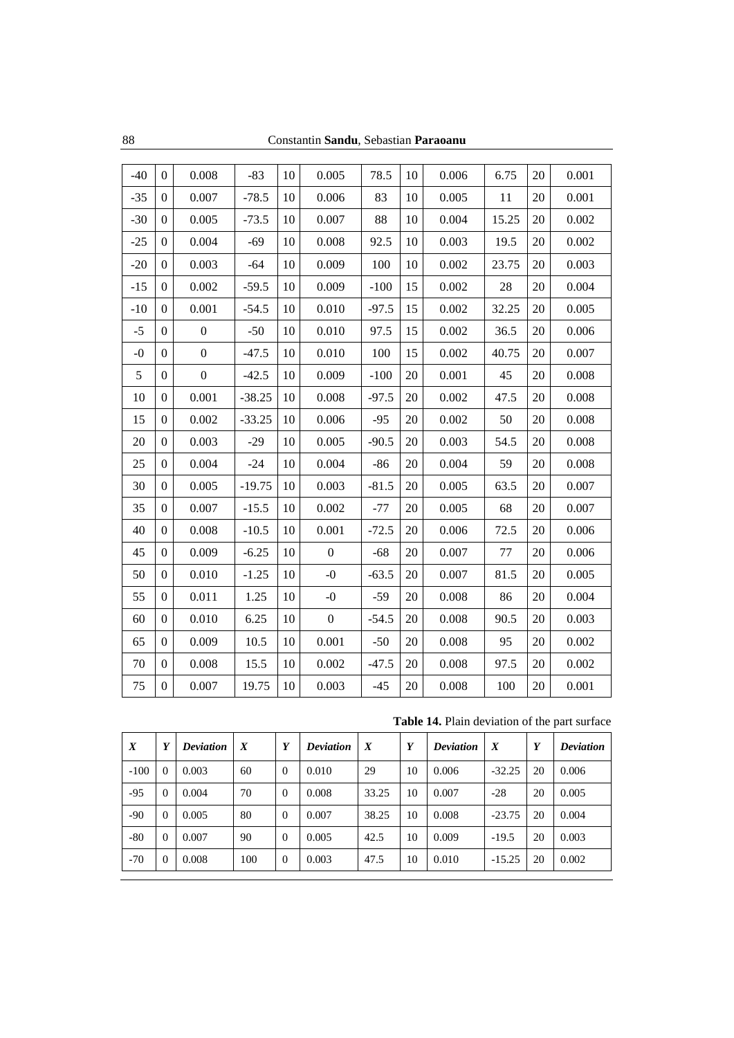| $-40$ | $\Omega$         | 0.008            | $-83$    | 10     | 0.005            | 78.5    | 10 | 0.006 | 6.75    | 20 | 0.001 |
|-------|------------------|------------------|----------|--------|------------------|---------|----|-------|---------|----|-------|
| $-35$ | $\boldsymbol{0}$ | 0.007            | $-78.5$  | 10     | 0.006            | 83      | 10 | 0.005 | 11      | 20 | 0.001 |
| $-30$ | $\Omega$         | 0.005            | $-73.5$  | 10     | 0.007            | 88      | 10 | 0.004 | 15.25   | 20 | 0.002 |
| $-25$ | $\boldsymbol{0}$ | 0.004            | $-69$    | 10     | 0.008            | 92.5    | 10 | 0.003 | 19.5    | 20 | 0.002 |
| $-20$ | $\mathbf{0}$     | 0.003            | $-64$    | 10     | 0.009            | 100     | 10 | 0.002 | 23.75   | 20 | 0.003 |
| $-15$ | $\boldsymbol{0}$ | 0.002            | $-59.5$  | 10     | 0.009            | $-100$  | 15 | 0.002 | 28      | 20 | 0.004 |
| $-10$ | $\mathbf{0}$     | 0.001            | $-54.5$  | 10     | 0.010            | $-97.5$ | 15 | 0.002 | 32.25   | 20 | 0.005 |
| $-5$  | $\Omega$         | $\overline{0}$   | $-50$    | 10     | 0.010            | 97.5    | 15 | 0.002 | 36.5    | 20 | 0.006 |
| $-0$  | $\overline{0}$   | $\boldsymbol{0}$ | $-47.5$  | 10     | 0.010            | 100     | 15 | 0.002 | 40.75   | 20 | 0.007 |
| 5     | $\Omega$         | $\boldsymbol{0}$ | $-42.5$  | 10     | 0.009            | $-100$  | 20 | 0.001 | 45      | 20 | 0.008 |
| 10    | $\boldsymbol{0}$ | 0.001            | $-38.25$ | $10\,$ | 0.008            | $-97.5$ | 20 | 0.002 | 47.5    | 20 | 0.008 |
| 15    | $\Omega$         | 0.002            | $-33.25$ | 10     | 0.006            | $-95$   | 20 | 0.002 | 50      | 20 | 0.008 |
| 20    | $\boldsymbol{0}$ | 0.003            | $-29$    | 10     | 0.005            | $-90.5$ | 20 | 0.003 | 54.5    | 20 | 0.008 |
| 25    | $\Omega$         | 0.004            | $-24$    | 10     | 0.004            | $-86$   | 20 | 0.004 | 59      | 20 | 0.008 |
| 30    | $\boldsymbol{0}$ | 0.005            | $-19.75$ | 10     | 0.003            | $-81.5$ | 20 | 0.005 | 63.5    | 20 | 0.007 |
| 35    | $\mathbf{0}$     | 0.007            | $-15.5$  | 10     | 0.002            | $-77$   | 20 | 0.005 | 68      | 20 | 0.007 |
| 40    | $\overline{0}$   | 0.008            | $-10.5$  | 10     | 0.001            | $-72.5$ | 20 | 0.006 | 72.5    | 20 | 0.006 |
| 45    | $\boldsymbol{0}$ | 0.009            | $-6.25$  | 10     | $\boldsymbol{0}$ | $-68$   | 20 | 0.007 | $77 \,$ | 20 | 0.006 |
| 50    | $\overline{0}$   | 0.010            | $-1.25$  | 10     | $-0$             | $-63.5$ | 20 | 0.007 | 81.5    | 20 | 0.005 |
| 55    | $\boldsymbol{0}$ | 0.011            | 1.25     | 10     | $-0$             | $-59$   | 20 | 0.008 | 86      | 20 | 0.004 |
| 60    | $\Omega$         | 0.010            | 6.25     | 10     | $\overline{0}$   | $-54.5$ | 20 | 0.008 | 90.5    | 20 | 0.003 |
| 65    | $\boldsymbol{0}$ | 0.009            | 10.5     | $10\,$ | 0.001            | $-50$   | 20 | 0.008 | 95      | 20 | 0.002 |
| 70    | $\Omega$         | 0.008            | 15.5     | 10     | 0.002            | $-47.5$ | 20 | 0.008 | 97.5    | 20 | 0.002 |
| 75    | $\boldsymbol{0}$ | 0.007            | 19.75    | 10     | 0.003            | $-45$   | 20 | 0.008 | 100     | 20 | 0.001 |

| Table 14. Plain deviation of the part surface |  |  |  |
|-----------------------------------------------|--|--|--|
|-----------------------------------------------|--|--|--|

| $\boldsymbol{X}$ | Y        | <b>Deviation</b> | $\boldsymbol{X}$ | Y        | <b>Deviation</b> | $\boldsymbol{X}$ | Y  | <b>Deviation</b> | $\boldsymbol{X}$ | Y  | <b>Deviation</b> |
|------------------|----------|------------------|------------------|----------|------------------|------------------|----|------------------|------------------|----|------------------|
| $-100$           | $\Omega$ | 0.003            | 60               | $\Omega$ | 0.010            | 29               | 10 | 0.006            | $-32.25$         | 20 | 0.006            |
| $-95$            | $\Omega$ | 0.004            | 70               | $\theta$ | 0.008            | 33.25            | 10 | 0.007            | $-28$            | 20 | 0.005            |
| $-90$            | $\Omega$ | 0.005            | 80               | $\theta$ | 0.007            | 38.25            | 10 | 0.008            | $-23.75$         | 20 | 0.004            |
| $-80$            | $\Omega$ | 0.007            | 90               | $\theta$ | 0.005            | 42.5             | 10 | 0.009            | $-19.5$          | 20 | 0.003            |
| $-70$            | $\theta$ | 0.008            | 100              | 0        | 0.003            | 47.5             | 10 | 0.010            | $-15.25$         | 20 | 0.002            |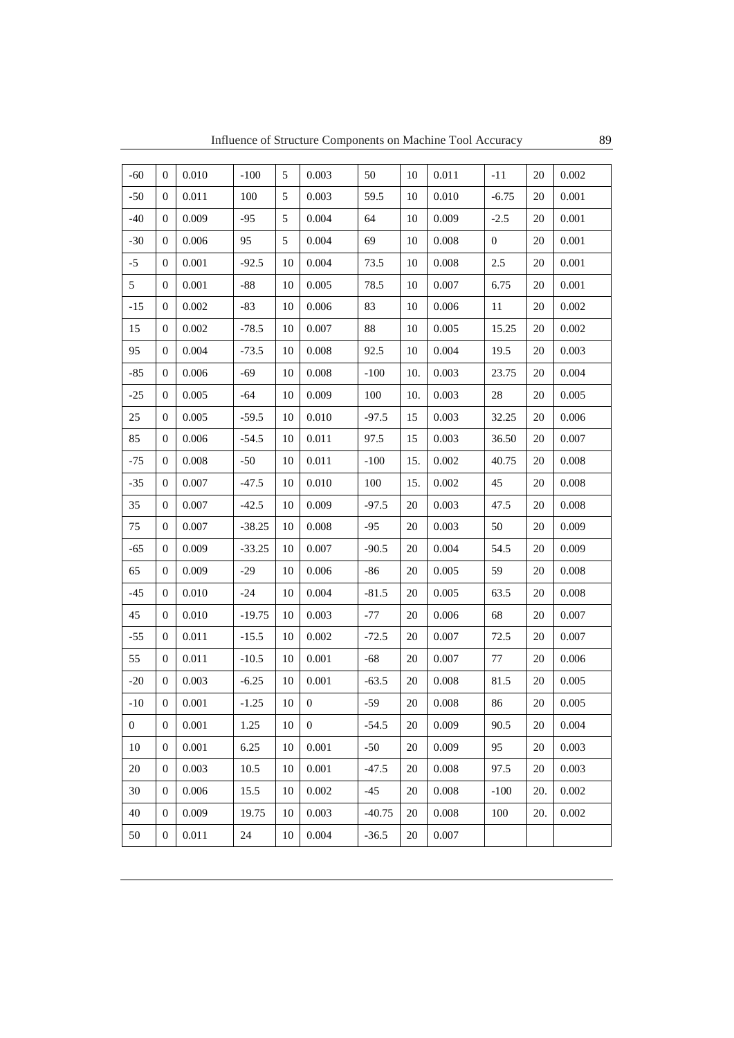| $-60$        | $\theta$         | 0.010 | $-100$   | 5  | 0.003            | 50       | 10  | 0.011 | $-11$          | 20  | 0.002 |
|--------------|------------------|-------|----------|----|------------------|----------|-----|-------|----------------|-----|-------|
| $-50$        | $\mathbf{0}$     | 0.011 | 100      | 5  | 0.003            | 59.5     | 10  | 0.010 | $-6.75$        | 20  | 0.001 |
| $-40$        | $\theta$         | 0.009 | $-95$    | 5  | 0.004            | 64       | 10  | 0.009 | $-2.5$         | 20  | 0.001 |
| $-30$        | $\mathbf{0}$     | 0.006 | 95       | 5  | 0.004            | 69       | 10  | 0.008 | $\overline{0}$ | 20  | 0.001 |
| $-5$         | $\theta$         | 0.001 | $-92.5$  | 10 | 0.004            | 73.5     | 10  | 0.008 | 2.5            | 20  | 0.001 |
| 5            | $\boldsymbol{0}$ | 0.001 | $-88$    | 10 | 0.005            | 78.5     | 10  | 0.007 | 6.75           | 20  | 0.001 |
| $-15$        | $\theta$         | 0.002 | $-83$    | 10 | 0.006            | 83       | 10  | 0.006 | 11             | 20  | 0.002 |
| 15           | $\mathbf{0}$     | 0.002 | $-78.5$  | 10 | 0.007            | 88       | 10  | 0.005 | 15.25          | 20  | 0.002 |
| 95           | $\mathbf{0}$     | 0.004 | $-73.5$  | 10 | 0.008            | 92.5     | 10  | 0.004 | 19.5           | 20  | 0.003 |
| $-85$        | $\mathbf{0}$     | 0.006 | $-69$    | 10 | 0.008            | $-100$   | 10. | 0.003 | 23.75          | 20  | 0.004 |
| $-25$        | $\mathbf{0}$     | 0.005 | $-64$    | 10 | 0.009            | 100      | 10. | 0.003 | 28             | 20  | 0.005 |
| 25           | $\mathbf{0}$     | 0.005 | $-59.5$  | 10 | 0.010            | $-97.5$  | 15  | 0.003 | 32.25          | 20  | 0.006 |
| 85           | $\theta$         | 0.006 | $-54.5$  | 10 | 0.011            | 97.5     | 15  | 0.003 | 36.50          | 20  | 0.007 |
| $-75$        | $\mathbf{0}$     | 0.008 | $-50$    | 10 | 0.011            | $-100$   | 15. | 0.002 | 40.75          | 20  | 0.008 |
| $-35$        | $\theta$         | 0.007 | $-47.5$  | 10 | 0.010            | 100      | 15. | 0.002 | 45             | 20  | 0.008 |
| 35           | $\boldsymbol{0}$ | 0.007 | $-42.5$  | 10 | 0.009            | $-97.5$  | 20  | 0.003 | 47.5           | 20  | 0.008 |
| 75           | $\mathbf{0}$     | 0.007 | $-38.25$ | 10 | 0.008            | $-95$    | 20  | 0.003 | 50             | 20  | 0.009 |
| $-65$        | $\theta$         | 0.009 | $-33.25$ | 10 | 0.007            | $-90.5$  | 20  | 0.004 | 54.5           | 20  | 0.009 |
| 65           | $\theta$         | 0.009 | $-29$    | 10 | 0.006            | -86      | 20  | 0.005 | 59             | 20  | 0.008 |
| $-45$        | $\mathbf{0}$     | 0.010 | $-24$    | 10 | 0.004            | $-81.5$  | 20  | 0.005 | 63.5           | 20  | 0.008 |
| 45           | $\overline{0}$   | 0.010 | $-19.75$ | 10 | 0.003            | $-77$    | 20  | 0.006 | 68             | 20  | 0.007 |
| $-55$        | $\mathbf{0}$     | 0.011 | $-15.5$  | 10 | 0.002            | $-72.5$  | 20  | 0.007 | 72.5           | 20  | 0.007 |
| 55           | $\overline{0}$   | 0.011 | $-10.5$  | 10 | 0.001            | $-68$    | 20  | 0.007 | 77             | 20  | 0.006 |
| $-20$        | $\boldsymbol{0}$ | 0.003 | $-6.25$  | 10 | 0.001            | $-63.5$  | 20  | 0.008 | 81.5           | 20  | 0.005 |
| $-10$        | $\boldsymbol{0}$ | 0.001 | $-1.25$  | 10 | $\boldsymbol{0}$ | $-59$    | 20  | 0.008 | 86             | 20  | 0.005 |
| $\mathbf{0}$ | $\boldsymbol{0}$ | 0.001 | 1.25     | 10 | $\mathbf{0}$     | $-54.5$  | 20  | 0.009 | 90.5           | 20  | 0.004 |
| 10           | $\mathbf{0}$     | 0.001 | 6.25     | 10 | 0.001            | $-50$    | 20  | 0.009 | 95             | 20  | 0.003 |
| 20           | $\boldsymbol{0}$ | 0.003 | 10.5     | 10 | 0.001            | $-47.5$  | 20  | 0.008 | 97.5           | 20  | 0.003 |
| 30           | $\mathbf{0}$     | 0.006 | 15.5     | 10 | 0.002            | $-45$    | 20  | 0.008 | $-100$         | 20. | 0.002 |
| 40           | $\boldsymbol{0}$ | 0.009 | 19.75    | 10 | 0.003            | $-40.75$ | 20  | 0.008 | 100            | 20. | 0.002 |
| 50           | $\boldsymbol{0}$ | 0.011 | 24       | 10 | 0.004            | $-36.5$  | 20  | 0.007 |                |     |       |
|              |                  |       |          |    |                  |          |     |       |                |     |       |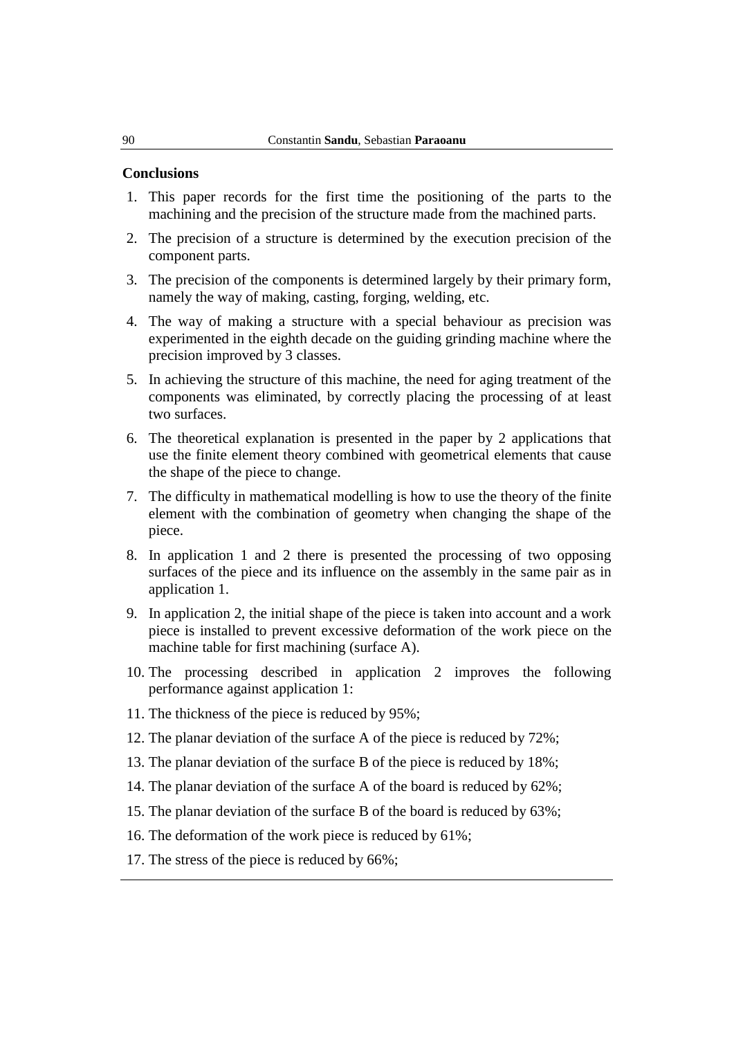#### **Conclusions**

- 1. This paper records for the first time the positioning of the parts to the machining and the precision of the structure made from the machined parts.
- 2. The precision of a structure is determined by the execution precision of the component parts.
- 3. The precision of the components is determined largely by their primary form, namely the way of making, casting, forging, welding, etc.
- 4. The way of making a structure with a special behaviour as precision was experimented in the eighth decade on the guiding grinding machine where the precision improved by 3 classes.
- 5. In achieving the structure of this machine, the need for aging treatment of the components was eliminated, by correctly placing the processing of at least two surfaces.
- 6. The theoretical explanation is presented in the paper by 2 applications that use the finite element theory combined with geometrical elements that cause the shape of the piece to change.
- 7. The difficulty in mathematical modelling is how to use the theory of the finite element with the combination of geometry when changing the shape of the piece.
- 8. In application 1 and 2 there is presented the processing of two opposing surfaces of the piece and its influence on the assembly in the same pair as in application 1.
- 9. In application 2, the initial shape of the piece is taken into account and a work piece is installed to prevent excessive deformation of the work piece on the machine table for first machining (surface A).
- 10. The processing described in application 2 improves the following performance against application 1:
- 11. The thickness of the piece is reduced by 95%;
- 12. The planar deviation of the surface A of the piece is reduced by 72%;
- 13. The planar deviation of the surface B of the piece is reduced by 18%;
- 14. The planar deviation of the surface A of the board is reduced by 62%;
- 15. The planar deviation of the surface B of the board is reduced by 63%;
- 16. The deformation of the work piece is reduced by 61%;
- 17. The stress of the piece is reduced by 66%;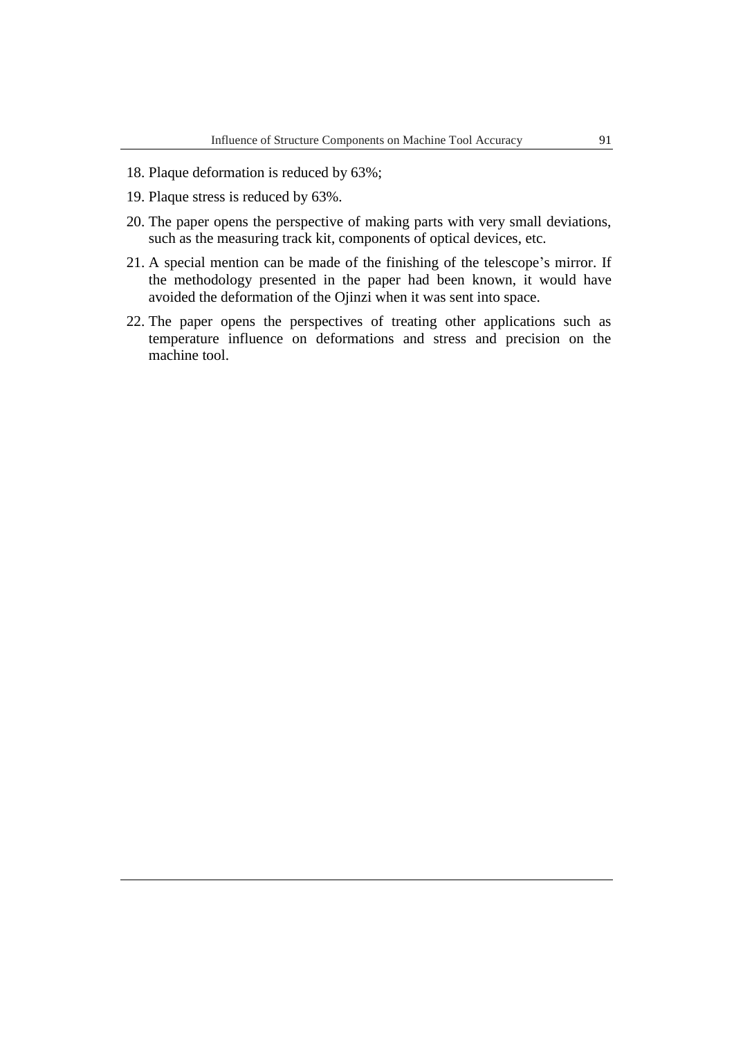- 18. Plaque deformation is reduced by 63%;
- 19. Plaque stress is reduced by 63%.
- 20. The paper opens the perspective of making parts with very small deviations, such as the measuring track kit, components of optical devices, etc.
- 21. A special mention can be made of the finishing of the telescope's mirror. If the methodology presented in the paper had been known, it would have avoided the deformation of the Ojinzi when it was sent into space.
- 22. The paper opens the perspectives of treating other applications such as temperature influence on deformations and stress and precision on the machine tool.